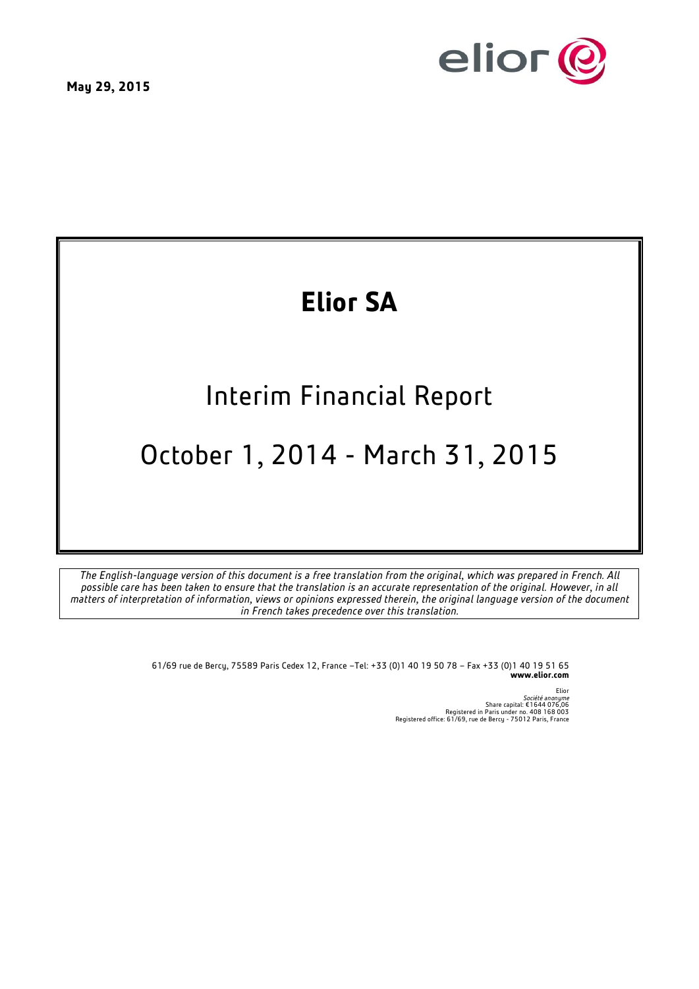



# **Elior SA**

## Interim Financial Report

## October 1, 2014 - March 31, 2015

*The English-language version of this document is a free translation from the original, which was prepared in French. All possible care has been taken to ensure that the translation is an accurate representation of the original. However, in all matters of interpretation of information, views or opinions expressed therein, the original language version of the document in French takes precedence over this translation.*

> 61/69 rue de Bercy, 75589 Paris Cedex 12, France –Tel: +33 (0)1 40 19 50 78 – Fax +33 (0)1 40 19 51 65 **www.elior.com**

> > Elior *Société anonyme*<br>Share capital: €1644 076,06<br>Registered office: 61/69, rue de Bercy - 75012 Paris, France<br>Registered office: 61/69, rue de Bercy - 75012 Paris, France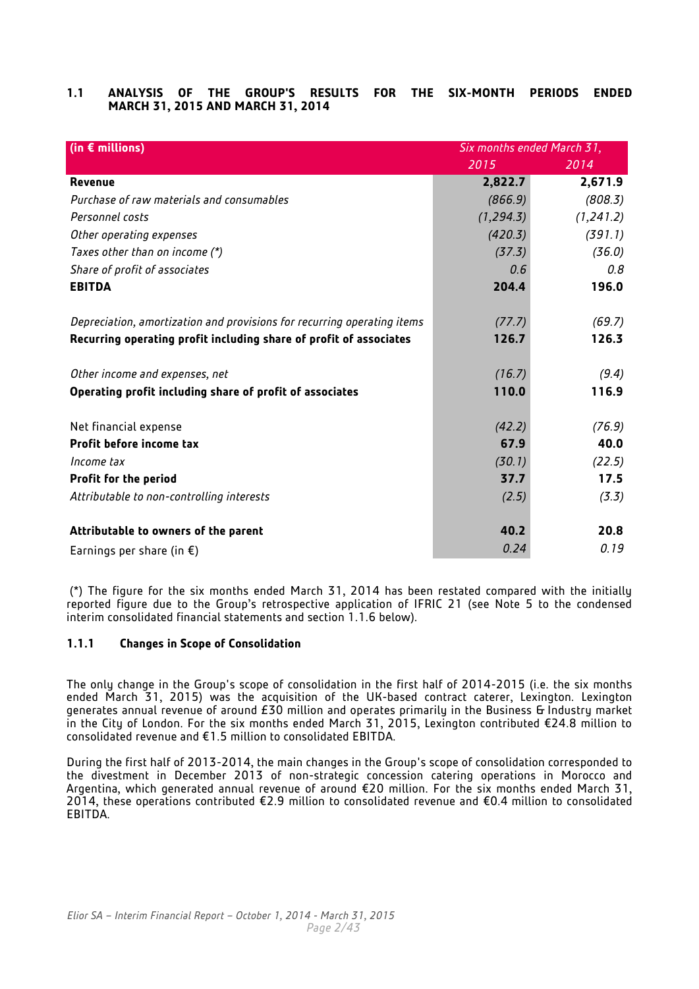## **1.1 ANALYSIS OF THE GROUP'S RESULTS FOR THE SIX-MONTH PERIODS ENDED MARCH 31, 2015 AND MARCH 31, 2014**

| (in $\epsilon$ millions)                                                | Six months ended March 31, |            |  |
|-------------------------------------------------------------------------|----------------------------|------------|--|
|                                                                         | 2015                       | 2014       |  |
| Revenue                                                                 | 2,822.7                    | 2,671.9    |  |
| Purchase of raw materials and consumables                               | (866.9)                    | (808.3)    |  |
| Personnel costs                                                         | (1, 294.3)                 | (1, 241.2) |  |
| Other operating expenses                                                | (420.3)                    | (391.1)    |  |
| Taxes other than on income (*)                                          | (37.3)                     | (36.0)     |  |
| Share of profit of associates                                           | 0.6                        | 0.8        |  |
| <b>EBITDA</b>                                                           | 204.4                      | 196.0      |  |
|                                                                         |                            |            |  |
| Depreciation, amortization and provisions for recurring operating items | (77.7)                     | (69.7)     |  |
| Recurring operating profit including share of profit of associates      | 126.7                      | 126.3      |  |
|                                                                         |                            |            |  |
| Other income and expenses, net                                          | (16.7)                     | (9.4)      |  |
| Operating profit including share of profit of associates                | 110.0                      | 116.9      |  |
|                                                                         |                            |            |  |
| Net financial expense                                                   | (42.2)                     | (76.9)     |  |
| Profit before income tax                                                | 67.9                       | 40.0       |  |
| Income tax                                                              | (30.1)                     | (22.5)     |  |
| <b>Profit for the period</b>                                            | 37.7                       | 17.5       |  |
| Attributable to non-controlling interests                               | (2.5)                      | (3.3)      |  |
|                                                                         |                            |            |  |
| Attributable to owners of the parent                                    | 40.2                       | 20.8       |  |
| Earnings per share (in $\xi$ )                                          | 0.24                       | 0.19       |  |

(\*) The figure for the six months ended March 31, 2014 has been restated compared with the initially reported figure due to the Group's retrospective application of IFRIC 21 (see Note 5 to the condensed interim consolidated financial statements and section 1.1.6 below).

## **1.1.1 Changes in Scope of Consolidation**

The only change in the Group's scope of consolidation in the first half of 2014-2015 (i.e. the six months ended March 31, 2015) was the acquisition of the UK-based contract caterer, Lexington. Lexington generates annual revenue of around £30 million and operates primarily in the Business & Industry market in the City of London. For the six months ended March 31, 2015, Lexington contributed €24.8 million to consolidated revenue and €1.5 million to consolidated EBITDA.

During the first half of 2013-2014, the main changes in the Group's scope of consolidation corresponded to the divestment in December 2013 of non-strategic concession catering operations in Morocco and Argentina, which generated annual revenue of around €20 million. For the six months ended March 31, 2014, these operations contributed €2.9 million to consolidated revenue and €0.4 million to consolidated EBITDA.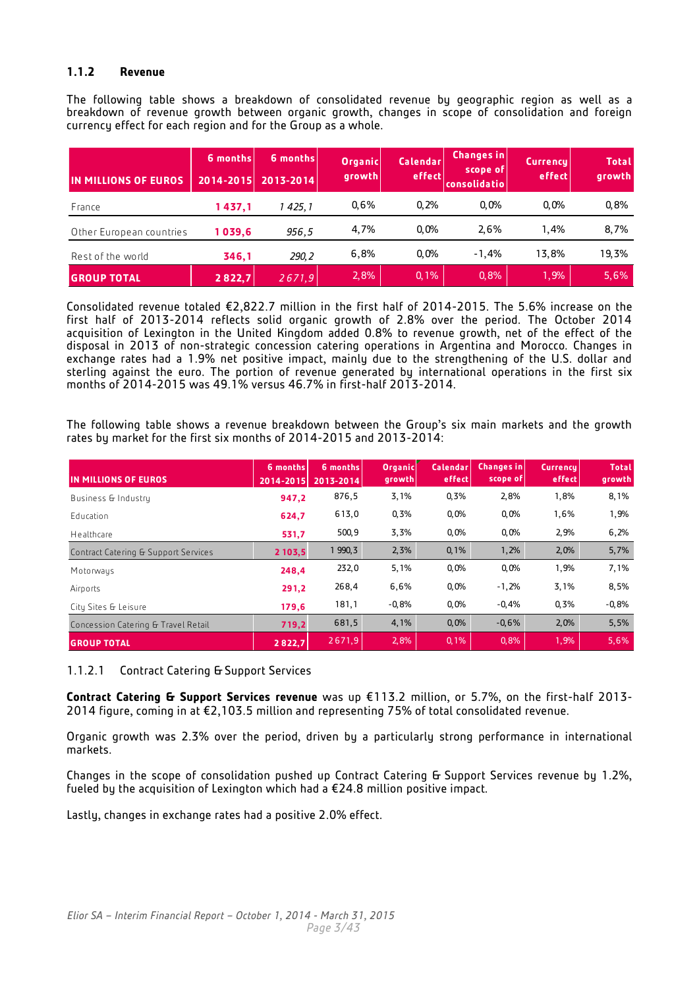## **1.1.2 Revenue**

The following table shows a breakdown of consolidated revenue by geographic region as well as a breakdown of revenue growth between organic growth, changes in scope of consolidation and foreign currency effect for each region and for the Group as a whole.

| IIN MILLIONS OF EUROS    | 6 months<br>2014-2015 | 6 months<br>2013-2014 | <b>Organic</b><br>growth | <b>Calendar</b><br>effect | <b>Changes</b> in<br>scope of<br><b>consolidatio</b> | <b>Currency</b><br>effect | <b>Total</b><br>growth |
|--------------------------|-----------------------|-----------------------|--------------------------|---------------------------|------------------------------------------------------|---------------------------|------------------------|
| France                   | 1437,1                | 425, 1                | 0.6%                     | 0.2%                      | 0.0%                                                 | $0.0\%$                   | 0,8%                   |
| Other European countries | 1 039.6               | 956.5                 | 4.7%                     | 0.0%                      | 2.6%                                                 | 1.4%                      | 8,7%                   |
| Rest of the world        | 346,1                 | 290, 2                | 6,8%                     | 0.0%                      | $-1.4%$                                              | 13.8%                     | 19,3%                  |
| <b>GROUP TOTAL</b>       | 2822.7                | 2671,9                | 2,8%                     | 0,1%                      | 0,8%                                                 | 1,9%                      | 5,6%                   |

Consolidated revenue totaled €2,822.7 million in the first half of 2014-2015. The 5.6% increase on the first half of 2013-2014 reflects solid organic growth of 2.8% over the period. The October 2014 acquisition of Lexington in the United Kingdom added 0.8% to revenue growth, net of the effect of the disposal in 2013 of non-strategic concession catering operations in Argentina and Morocco. Changes in exchange rates had a 1.9% net positive impact, mainly due to the strengthening of the U.S. dollar and sterling against the euro. The portion of revenue generated by international operations in the first six months of 2014-2015 was 49.1% versus 46.7% in first-half 2013-2014.

The following table shows a revenue breakdown between the Group's six main markets and the growth rates by market for the first six months of 2014-2015 and 2013-2014:

| IN MILLIONS OF EUROS                 | 6 months<br>2014-2015 | 6 months<br>2013-2014 | <b>Organic</b><br>growth | Calendar<br>effect | <b>Changes in</b><br>scope of | <b>Currency</b><br>effect | <b>Total</b><br>growth |
|--------------------------------------|-----------------------|-----------------------|--------------------------|--------------------|-------------------------------|---------------------------|------------------------|
| Business & Industry                  | 947,2                 | 876,5                 | 3,1%                     | 0,3%               | 2,8%                          | 1,8%                      | 8,1%                   |
| Education                            | 624,7                 | 613,0                 | 0,3%                     | 0,0%               | 0,0%                          | 1,6%                      | 1,9%                   |
| Healthcare                           | 531,7                 | 500,9                 | 3,3%                     | 0,0%               | 0,0%                          | 2,9%                      | 6,2%                   |
| Contract Catering & Support Services | 2 103.5               | 1 990, 3              | 2,3%                     | 0,1%               | 1,2%                          | 2,0%                      | 5,7%                   |
| Motorways                            | 248,4                 | 232,0                 | 5,1%                     | 0,0%               | 0,0%                          | 1,9%                      | 7,1%                   |
| Airports                             | 291,2                 | 268,4                 | 6,6%                     | 0,0%               | $-1,2%$                       | 3,1%                      | 8,5%                   |
| City Sites & Leisure                 | 179,6                 | 181,1                 | $-0.8%$                  | 0,0%               | $-0.4%$                       | 0,3%                      | $-0,8%$                |
| Concession Catering & Travel Retail  | 719,2                 | 681,5                 | 4,1%                     | 0,0%               | $-0.6%$                       | 2,0%                      | 5,5%                   |
| <b>GROUP TOTAL</b>                   | 2822,7                | 2671,9                | 2,8%                     | 0, 1%              | 0,8%                          | 1,9%                      | 5,6%                   |

1.1.2.1 Contract Catering & Support Services

**Contract Catering & Support Services revenue** was up €113.2 million, or 5.7%, on the first-half 2013- 2014 figure, coming in at €2,103.5 million and representing 75% of total consolidated revenue.

Organic growth was 2.3% over the period, driven by a particularly strong performance in international markets.

Changes in the scope of consolidation pushed up Contract Catering & Support Services revenue by 1.2%, fueled by the acquisition of Lexington which had a €24.8 million positive impact.

Lastly, changes in exchange rates had a positive 2.0% effect.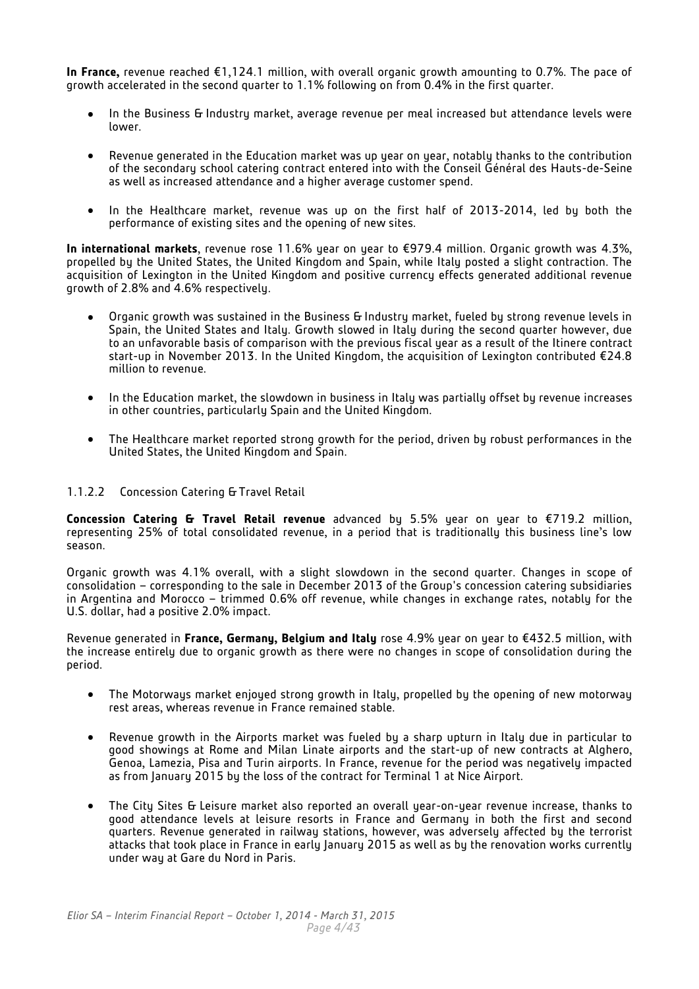**In France,** revenue reached €1,124.1 million, with overall organic growth amounting to 0.7%. The pace of growth accelerated in the second quarter to 1.1% following on from 0.4% in the first quarter.

- In the Business & Industry market, average revenue per meal increased but attendance levels were  $\bullet$ lower.
- Revenue generated in the Education market was up year on year, notably thanks to the contribution of the secondary school catering contract entered into with the Conseil Général des Hauts-de-Seine as well as increased attendance and a higher average customer spend.
- In the Healthcare market, revenue was up on the first half of 2013-2014, led by both the performance of existing sites and the opening of new sites.

**In international markets**, revenue rose 11.6% year on year to €979.4 million. Organic growth was 4.3%, propelled by the United States, the United Kingdom and Spain, while Italy posted a slight contraction. The acquisition of Lexington in the United Kingdom and positive currency effects generated additional revenue growth of 2.8% and 4.6% respectively.

- Organic growth was sustained in the Business & Industry market, fueled by strong revenue levels in Spain, the United States and Italy. Growth slowed in Italy during the second quarter however, due to an unfavorable basis of comparison with the previous fiscal year as a result of the Itinere contract start-up in November 2013. In the United Kingdom, the acquisition of Lexington contributed €24.8 million to revenue.
- In the Education market, the slowdown in business in Italy was partially offset by revenue increases  $\bullet$ in other countries, particularly Spain and the United Kingdom.
- The Healthcare market reported strong growth for the period, driven by robust performances in the  $\bullet$ United States, the United Kingdom and Spain.

## 1.1.2.2 Concession Catering & Travel Retail

**Concession Catering & Travel Retail revenue** advanced by 5.5% year on year to €719.2 million, representing 25% of total consolidated revenue, in a period that is traditionally this business line's low season.

Organic growth was 4.1% overall, with a slight slowdown in the second quarter. Changes in scope of consolidation – corresponding to the sale in December 2013 of the Group's concession catering subsidiaries in Argentina and Morocco – trimmed 0.6% off revenue, while changes in exchange rates, notably for the U.S. dollar, had a positive 2.0% impact.

Revenue generated in **France, Germany, Belgium and Italy** rose 4.9% year on year to €432.5 million, with the increase entirely due to organic growth as there were no changes in scope of consolidation during the period.

- The Motorways market enjoyed strong growth in Italy, propelled by the opening of new motorway  $\bullet$ rest areas, whereas revenue in France remained stable.
- Revenue growth in the Airports market was fueled by a sharp upturn in Italy due in particular to good showings at Rome and Milan Linate airports and the start-up of new contracts at Alghero, Genoa, Lamezia, Pisa and Turin airports. In France, revenue for the period was negatively impacted as from January 2015 by the loss of the contract for Terminal 1 at Nice Airport.
- The City Sites & Leisure market also reported an overall year-on-year revenue increase, thanks to good attendance levels at leisure resorts in France and Germany in both the first and second quarters. Revenue generated in railway stations, however, was adversely affected by the terrorist attacks that took place in France in early January 2015 as well as by the renovation works currently under way at Gare du Nord in Paris.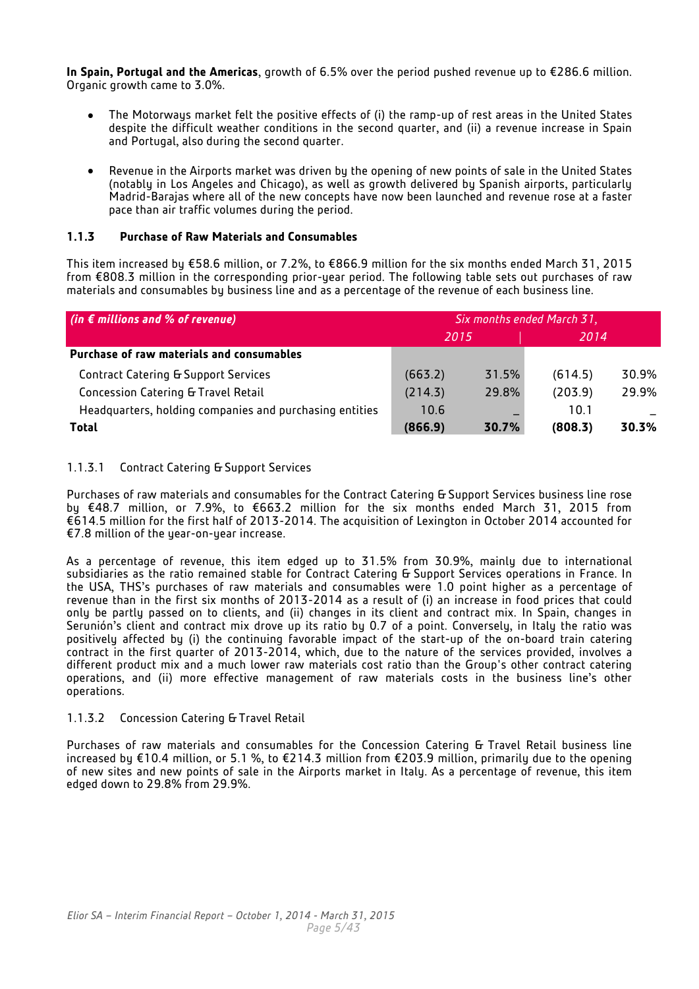**In Spain, Portugal and the Americas**, growth of 6.5% over the period pushed revenue up to €286.6 million. Organic growth came to 3.0%.

- The Motorwaus market felt the positive effects of (i) the ramp-up of rest areas in the United States  $\bullet$ despite the difficult weather conditions in the second quarter, and (ii) a revenue increase in Spain and Portugal, also during the second quarter.
- Revenue in the Airports market was driven by the opening of new points of sale in the United States  $\bullet$ (notably in Los Angeles and Chicago), as well as growth delivered by Spanish airports, particularly Madrid-Barajas where all of the new concepts have now been launched and revenue rose at a faster pace than air traffic volumes during the period.

## **1.1.3 Purchase of Raw Materials and Consumables**

This item increased by €58.6 million, or 7.2%, to €866.9 million for the six months ended March 31, 2015 from €808.3 million in the corresponding prior-year period. The following table sets out purchases of raw materials and consumables by business line and as a percentage of the revenue of each business line.

| (in $\epsilon$ millions and % of revenue)               | Six months ended March 31, |       |         |       |
|---------------------------------------------------------|----------------------------|-------|---------|-------|
|                                                         | 2015                       |       | 2014    |       |
| Purchase of raw materials and consumables               |                            |       |         |       |
| <b>Contract Catering &amp; Support Services</b>         | (663.2)                    | 31.5% | (614.5) | 30.9% |
| Concession Catering & Travel Retail                     | (214.3)                    | 29.8% | (203.9) | 29.9% |
| Headquarters, holding companies and purchasing entities | 10.6                       |       | 10.1    |       |
| <b>Total</b>                                            | (866.9)                    | 30.7% | (808.3) | 30.3% |

## 1.1.3.1 Contract Catering & Support Services

Purchases of raw materials and consumables for the Contract Catering & Support Services business line rose by €48.7 million, or 7.9%, to €663.2 million for the six months ended March 31, 2015 from €614.5 million for the first half of 2013-2014. The acquisition of Lexington in October 2014 accounted for €7.8 million of the year-on-year increase.

As a percentage of revenue, this item edged up to 31.5% from 30.9%, mainly due to international subsidiaries as the ratio remained stable for Contract Catering & Support Services operations in France. In the USA, THS's purchases of raw materials and consumables were 1.0 point higher as a percentage of revenue than in the first six months of 2013-2014 as a result of (i) an increase in food prices that could only be partly passed on to clients, and (ii) changes in its client and contract mix. In Spain, changes in Serunión's client and contract mix drove up its ratio by 0.7 of a point. Conversely, in Italy the ratio was positively affected by (i) the continuing favorable impact of the start-up of the on-board train catering contract in the first quarter of 2013-2014, which, due to the nature of the services provided, involves a different product mix and a much lower raw materials cost ratio than the Group's other contract catering operations, and (ii) more effective management of raw materials costs in the business line's other operations.

## 1.1.3.2 Concession Catering & Travel Retail

Purchases of raw materials and consumables for the Concession Catering & Travel Retail business line increased by €10.4 million, or 5.1 %, to €214.3 million from €203.9 million, primarily due to the opening of new sites and new points of sale in the Airports market in Italy. As a percentage of revenue, this item edged down to 29.8% from 29.9%.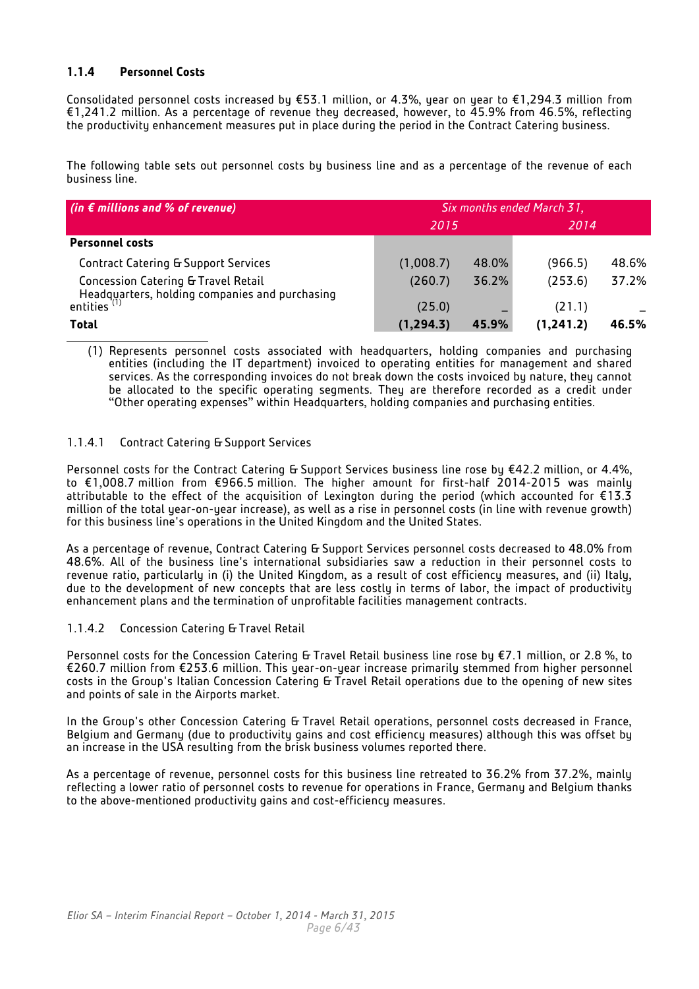## **1.1.4 Personnel Costs**

Consolidated personnel costs increased by €53.1 million, or 4.3%, year on year to €1,294.3 million from €1,241.2 million. As a percentage of revenue they decreased, however, to 45.9% from 46.5%, reflecting the productivity enhancement measures put in place during the period in the Contract Catering business.

The following table sets out personnel costs by business line and as a percentage of the revenue of each business line.

| (in $\epsilon$ millions and % of revenue)                                             | Six months ended March 31, |       |           |       |
|---------------------------------------------------------------------------------------|----------------------------|-------|-----------|-------|
|                                                                                       | 2015                       |       | 2014      |       |
| <b>Personnel costs</b>                                                                |                            |       |           |       |
| <b>Contract Catering &amp; Support Services</b>                                       | (1,008.7)                  | 48.0% | (966.5)   | 48.6% |
| Concession Catering & Travel Retail<br>Headquarters, holding companies and purchasing | (260.7)                    | 36.2% | (253.6)   | 37.2% |
| entities <sup>(1)</sup>                                                               | (25.0)                     |       | (21.1)    |       |
| Total                                                                                 | (1, 294.3)                 | 45.9% | (1.241.2) | 46.5% |

(1) Represents personnel costs associated with headquarters, holding companies and purchasing entities (including the IT department) invoiced to operating entities for management and shared services. As the corresponding invoices do not break down the costs invoiced by nature, they cannot be allocated to the specific operating segments. They are therefore recorded as a credit under "Other operating expenses" within Headquarters, holding companies and purchasing entities.

## 1.1.4.1 Contract Catering & Support Services

Personnel costs for the Contract Catering & Support Services business line rose by €42.2 million, or 4.4%, to €1,008.7 million from €966.5 million. The higher amount for first-half 2014-2015 was mainly attributable to the effect of the acquisition of Lexington during the period (which accounted for €13.3 million of the total year-on-year increase), as well as a rise in personnel costs (in line with revenue growth) for this business line's operations in the United Kingdom and the United States.

As a percentage of revenue, Contract Catering & Support Services personnel costs decreased to 48.0% from 48.6%. All of the business line's international subsidiaries saw a reduction in their personnel costs to revenue ratio, particularly in (i) the United Kingdom, as a result of cost efficiency measures, and (ii) Italy, due to the development of new concepts that are less costly in terms of labor, the impact of productivity enhancement plans and the termination of unprofitable facilities management contracts.

## 1.1.4.2 Concession Catering & Travel Retail

Personnel costs for the Concession Catering & Travel Retail business line rose by  $E$ 7.1 million, or 2.8 %, to €260.7 million from €253.6 million. This year-on-year increase primarily stemmed from higher personnel costs in the Group's Italian Concession Catering & Travel Retail operations due to the opening of new sites and points of sale in the Airports market.

In the Group's other Concession Catering & Travel Retail operations, personnel costs decreased in France, Belgium and Germany (due to productivity gains and cost efficiency measures) although this was offset by an increase in the USA resulting from the brisk business volumes reported there.

As a percentage of revenue, personnel costs for this business line retreated to 36.2% from 37.2%, mainly reflecting a lower ratio of personnel costs to revenue for operations in France, Germany and Belgium thanks to the above-mentioned productivity gains and cost-efficiency measures.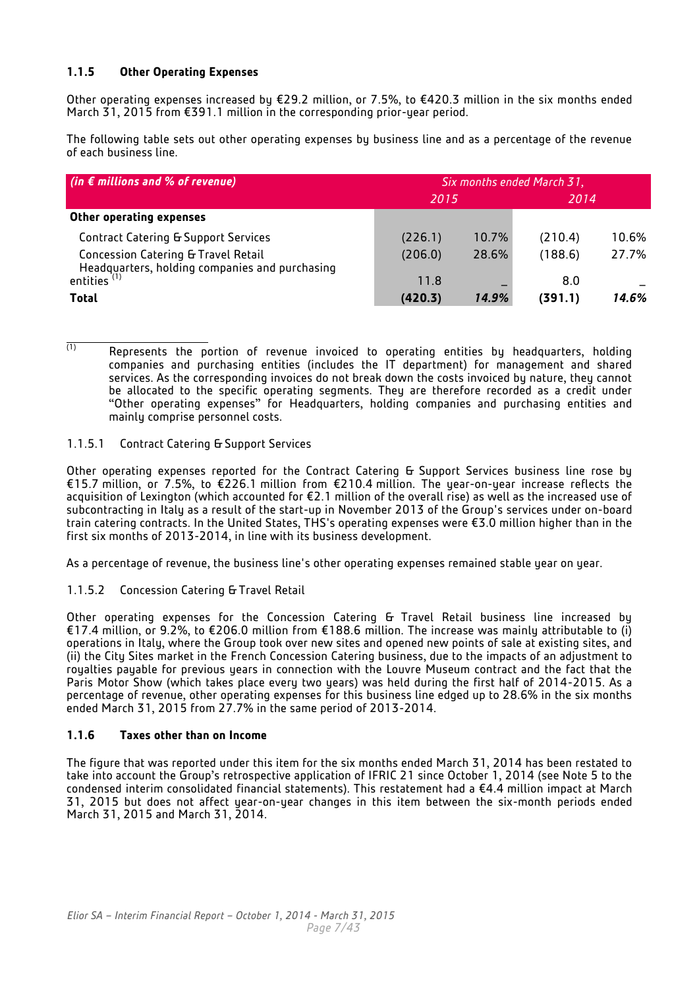## **1.1.5 Other Operating Expenses**

Other operating expenses increased by €29.2 million, or 7.5%, to €420.3 million in the six months ended March 31, 2015 from €391.1 million in the corresponding prior-year period.

The following table sets out other operating expenses by business line and as a percentage of the revenue of each business line.

| $\int$ (in $\epsilon$ millions and % of revenue)                                      | Six months ended March 31, |       |         |       |
|---------------------------------------------------------------------------------------|----------------------------|-------|---------|-------|
|                                                                                       | 2015                       |       | 2014    |       |
| Other operating expenses                                                              |                            |       |         |       |
| <b>Contract Catering &amp; Support Services</b>                                       | (226.1)                    | 10.7% | (210.4) | 10.6% |
| Concession Catering & Travel Retail<br>Headquarters, holding companies and purchasing | (206.0)                    | 28.6% | (188.6) | 27.7% |
| entities (1)                                                                          | 11.8                       |       | 8.0     |       |
| <b>Total</b>                                                                          | (420.3)                    | 14.9% | (391.1) | 14.6% |

 $\overline{1}$  Represents the portion of revenue invoiced to operating entities by headquarters, holding companies and purchasing entities (includes the IT department) for management and shared services. As the corresponding invoices do not break down the costs invoiced by nature, they cannot be allocated to the specific operating segments. They are therefore recorded as a credit under "Other operating expenses" for Headquarters, holding companies and purchasing entities and mainly comprise personnel costs.

## 1.1.5.1 Contract Catering & Support Services

Other operating expenses reported for the Contract Catering & Support Services business line rose by €15.7 million, or 7.5%, to €226.1 million from €210.4 million. The year-on-year increase reflects the acquisition of Lexington (which accounted for €2.1 million of the overall rise) as well as the increased use of subcontracting in Italy as a result of the start-up in November 2013 of the Group's services under on-board train catering contracts. In the United States, THS's operating expenses were €3.0 million higher than in the first six months of 2013-2014, in line with its business development.

As a percentage of revenue, the business line's other operating expenses remained stable year on year.

1.1.5.2 Concession Catering & Travel Retail

Other operating expenses for the Concession Catering & Travel Retail business line increased by €17.4 million, or 9.2%, to €206.0 million from €188.6 million. The increase was mainly attributable to (i) operations in Italy, where the Group took over new sites and opened new points of sale at existing sites, and (ii) the City Sites market in the French Concession Catering business, due to the impacts of an adjustment to roualties payable for previous years in connection with the Louvre Museum contract and the fact that the Paris Motor Show (which takes place every two years) was held during the first half of 2014-2015. As a percentage of revenue, other operating expenses for this business line edged up to 28.6% in the six months ended March 31, 2015 from 27.7% in the same period of 2013-2014.

## **1.1.6 Taxes other than on Income**

The figure that was reported under this item for the six months ended March 31, 2014 has been restated to take into account the Group's retrospective application of IFRIC 21 since October 1, 2014 (see Note 5 to the condensed interim consolidated financial statements). This restatement had a €4.4 million impact at March 31, 2015 but does not affect year-on-year changes in this item between the six-month periods ended March 31, 2015 and March 31, 2014.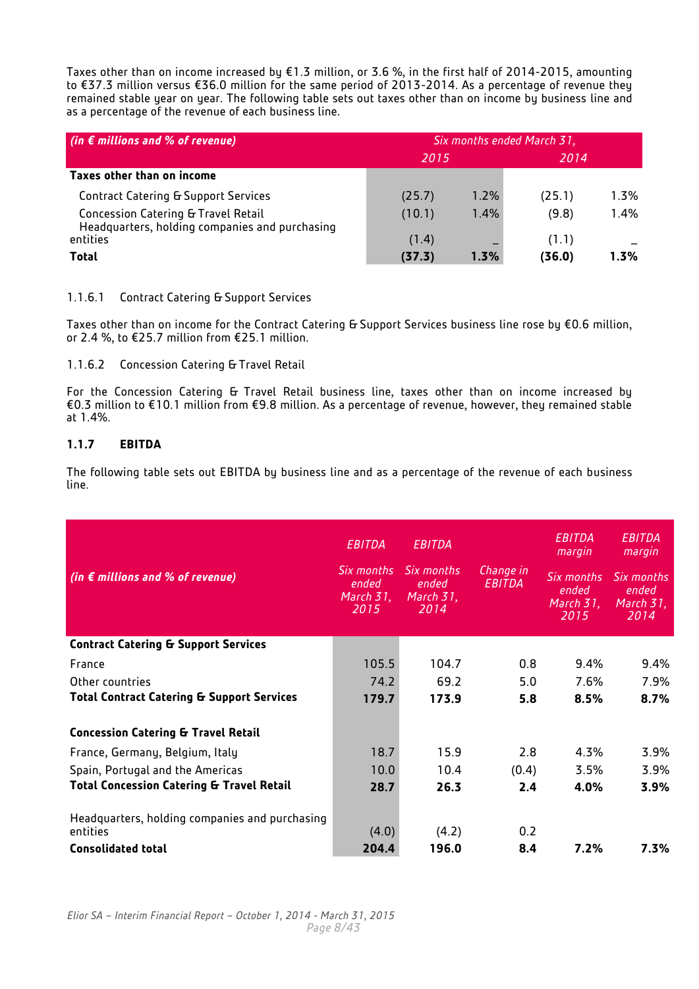Taxes other than on income increased by €1.3 million, or 3.6 %, in the first half of 2014-2015, amounting to €37.3 million versus €36.0 million for the same period of 2013-2014. As a percentage of revenue they remained stable year on year. The following table sets out taxes other than on income by business line and as a percentage of the revenue of each business line.

| (in $\epsilon$ millions and % of revenue)                                             | Six months ended March 31, |         |        |      |  |
|---------------------------------------------------------------------------------------|----------------------------|---------|--------|------|--|
|                                                                                       | 2015                       |         | 2014   |      |  |
| Taxes other than on income                                                            |                            |         |        |      |  |
| <b>Contract Catering &amp; Support Services</b>                                       | (25.7)                     | 1.2%    | (25.1) | 1.3% |  |
| Concession Catering & Travel Retail<br>Headquarters, holding companies and purchasing | (10.1)                     | 1.4%    | (9.8)  | 1.4% |  |
| entities                                                                              | (1.4)                      |         | (1.1)  |      |  |
| <b>Total</b>                                                                          | (37.3)                     | $1.3\%$ | (36.0) | 1.3% |  |

## 1.1.6.1 Contract Catering & Support Services

Taxes other than on income for the Contract Catering & Support Services business line rose by €0.6 million, or 2.4 %, to €25.7 million from €25.1 million.

## 1.1.6.2 Concession Catering & Travel Retail

For the Concession Catering & Travel Retail business line, taxes other than on income increased by €0.3 million to €10.1 million from €9.8 million. As a percentage of revenue, however, they remained stable at 1.4%.

## **1.1.7 EBITDA**

The following table sets out EBITDA by business line and as a percentage of the revenue of each business line.

| (in $\epsilon$ millions and % of revenue)                  | EBITDA<br>Six months<br>ended<br>March 31,<br>2015 | <b>EBITDA</b><br>Six months<br>ended<br>March 31,<br>2014 | Change in<br>EBITDA | EBITDA<br>margin<br>Six months<br>ended<br>March 3 <u>1, </u><br>2015 | EBITDA<br>margin<br>Six months<br>ended<br>March 31,<br>2014 |
|------------------------------------------------------------|----------------------------------------------------|-----------------------------------------------------------|---------------------|-----------------------------------------------------------------------|--------------------------------------------------------------|
| <b>Contract Catering &amp; Support Services</b>            |                                                    |                                                           |                     |                                                                       |                                                              |
| France                                                     | 105.5                                              | 104.7                                                     | 0.8                 | 9.4%                                                                  | 9.4%                                                         |
| Other countries                                            | 74.2                                               | 69.2                                                      | 5.0                 | 7.6%                                                                  | 7.9%                                                         |
| <b>Total Contract Catering &amp; Support Services</b>      | 179.7                                              | 173.9                                                     | 5.8                 | 8.5%                                                                  | 8.7%                                                         |
| <b>Concession Catering &amp; Travel Retail</b>             |                                                    |                                                           |                     |                                                                       |                                                              |
| France, Germany, Belgium, Italy                            | 18.7                                               | 15.9                                                      | 2.8                 | 4.3%                                                                  | 3.9%                                                         |
| Spain, Portugal and the Americas                           | 10.0                                               | 10.4                                                      | (0.4)               | 3.5%                                                                  | 3.9%                                                         |
| <b>Total Concession Catering &amp; Travel Retail</b>       | 28.7                                               | 26.3                                                      | 2.4                 | 4.0%                                                                  | 3.9%                                                         |
| Headquarters, holding companies and purchasing<br>entities | (4.0)                                              | (4.2)                                                     | 0.2                 |                                                                       |                                                              |
| <b>Consolidated total</b>                                  | 204.4                                              | 196.0                                                     | 8.4                 | 7.2%                                                                  | $7.3\%$                                                      |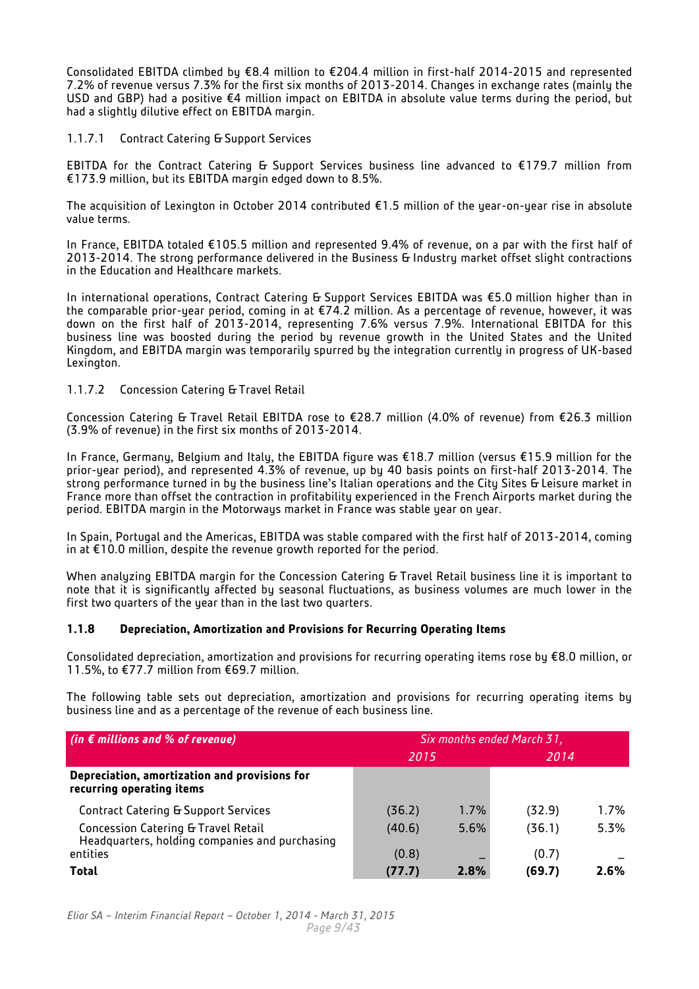Consolidated EBITDA climbed by €8.4 million to €204.4 million in first-half 2014-2015 and represented 7.2% of revenue versus 7.3% for the first six months of 2013-2014. Changes in exchange rates (mainly the USD and GBP) had a positive €4 million impact on EBITDA in absolute value terms during the period, but had a slightly dilutive effect on EBITDA margin.

## 1.1.7.1 Contract Catering & Support Services

EBITDA for the Contract Catering & Support Services business line advanced to €179.7 million from €173.9 million, but its EBITDA margin edged down to 8.5%.

The acquisition of Lexington in October 2014 contributed €1.5 million of the year-on-year rise in absolute value terms.

In France, EBITDA totaled €105.5 million and represented 9.4% of revenue, on a par with the first half of 2013-2014. The strong performance delivered in the Business & Industry market offset slight contractions in the Education and Healthcare markets.

In international operations, Contract Catering & Support Services EBITDA was €5.0 million higher than in the comparable prior-year period, coming in at €74.2 million. As a percentage of revenue, however, it was down on the first half of 2013-2014, representing 7.6% versus 7.9%. International EBITDA for this business line was boosted during the period by revenue growth in the United States and the United Kingdom, and EBITDA margin was temporarily spurred by the integration currently in progress of UK-based Lexington.

## 1.1.7.2 Concession Catering & Travel Retail

Concession Catering & Travel Retail EBITDA rose to €28.7 million (4.0% of revenue) from €26.3 million (3.9% of revenue) in the first six months of 2013-2014.

In France, Germany, Belgium and Italy, the EBITDA figure was €18.7 million (versus €15.9 million for the prior-year period), and represented 4.3% of revenue, up by 40 basis points on first-half 2013-2014. The strong performance turned in by the business line's Italian operations and the City Sites & Leisure market in France more than offset the contraction in profitability experienced in the French Airports market during the period. EBITDA margin in the Motorways market in France was stable year on year.

In Spain, Portugal and the Americas, EBITDA was stable compared with the first half of 2013-2014, coming in at €10.0 million, despite the revenue growth reported for the period.

When analyzing EBITDA margin for the Concession Catering & Travel Retail business line it is important to note that it is significantly affected by seasonal fluctuations, as business volumes are much lower in the first two quarters of the year than in the last two quarters.

## **1.1.8 Depreciation, Amortization and Provisions for Recurring Operating Items**

Consolidated depreciation, amortization and provisions for recurring operating items rose by €8.0 million, or 11.5%, to €77.7 million from €69.7 million.

The following table sets out depreciation, amortization and provisions for recurring operating items by business line and as a percentage of the revenue of each business line.

| (in $\epsilon$ millions and % of revenue)                                             | Six months ended March 31, |      |        |      |
|---------------------------------------------------------------------------------------|----------------------------|------|--------|------|
|                                                                                       | 2015                       |      | 2014   |      |
| Depreciation, amortization and provisions for<br>recurring operating items            |                            |      |        |      |
| <b>Contract Catering &amp; Support Services</b>                                       | (36.2)                     | 1.7% | (32.9) | 1.7% |
| Concession Catering & Travel Retail<br>Headquarters, holding companies and purchasing | (40.6)                     | 5.6% | (36.1) | 5.3% |
| entities                                                                              | (0.8)                      |      | (0.7)  |      |
| Total                                                                                 | (77.7)                     | 2.8% | (69.7) | 2.6% |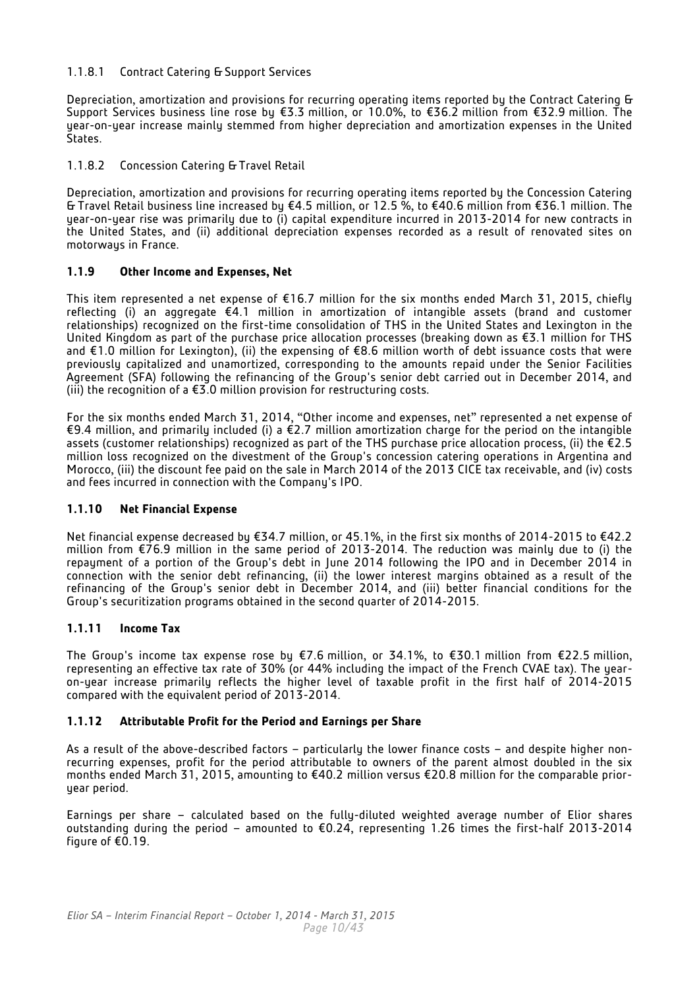## 1.1.8.1 Contract Catering & Support Services

Depreciation, amortization and provisions for recurring operating items reported by the Contract Catering & Support Services business line rose by €3.3 million, or 10.0%, to €36.2 million from €32.9 million. The year-on-year increase mainly stemmed from higher depreciation and amortization expenses in the United States.

## 1.1.8.2 Concession Catering & Travel Retail

Depreciation, amortization and provisions for recurring operating items reported by the Concession Catering & Travel Retail business line increased by €4.5 million, or 12.5 %, to €40.6 million from €36.1 million. The year-on-year rise was primarily due to (i) capital expenditure incurred in 2013-2014 for new contracts in the United States, and (ii) additional depreciation expenses recorded as a result of renovated sites on motorways in France.

## **1.1.9 Other Income and Expenses, Net**

This item represented a net expense of €16.7 million for the six months ended March 31, 2015, chiefly reflecting (i) an aggregate €4.1 million in amortization of intangible assets (brand and customer relationships) recognized on the first-time consolidation of THS in the United States and Lexington in the United Kingdom as part of the purchase price allocation processes (breaking down as €3.1 million for THS and €1.0 million for Lexington), (ii) the expensing of €8.6 million worth of debt issuance costs that were previously capitalized and unamortized, corresponding to the amounts repaid under the Senior Facilities Agreement (SFA) following the refinancing of the Group's senior debt carried out in December 2014, and (iii) the recognition of a  $E3.0$  million provision for restructuring costs.

For the six months ended March 31, 2014, "Other income and expenses, net" represented a net expense of €9.4 million, and primarily included (i) a  $\epsilon$ 2.7 million amortization charge for the period on the intangible assets (customer relationships) recognized as part of the THS purchase price allocation process, (ii) the €2.5 million loss recognized on the divestment of the Group's concession catering operations in Argentina and Morocco, (iii) the discount fee paid on the sale in March 2014 of the 2013 CICE tax receivable, and (iv) costs and fees incurred in connection with the Company's IPO.

## **1.1.10 Net Financial Expense**

Net financial expense decreased by €34.7 million, or 45.1%, in the first six months of 2014-2015 to €42.2 million from €76.9 million in the same period of 2013-2014. The reduction was mainly due to (i) the repayment of a portion of the Group's debt in June 2014 following the IPO and in December 2014 in connection with the senior debt refinancing, (ii) the lower interest margins obtained as a result of the refinancing of the Group's senior debt in December 2014, and (iii) better financial conditions for the Group's securitization programs obtained in the second quarter of 2014-2015.

## **1.1.11 Income Tax**

The Group's income tax expense rose by €7.6 million, or 34.1%, to €30.1 million from €22.5 million, representing an effective tax rate of 30% (or 44% including the impact of the French CVAE tax). The yearon-year increase primarily reflects the higher level of taxable profit in the first half of 2014-2015 compared with the equivalent period of 2013-2014.

## **1.1.12 Attributable Profit for the Period and Earnings per Share**

As a result of the above-described factors – particularly the lower finance costs – and despite higher nonrecurring expenses, profit for the period attributable to owners of the parent almost doubled in the six months ended March 31, 2015, amounting to €40.2 million versus €20.8 million for the comparable prioryear period.

Earnings per share – calculated based on the fully-diluted weighted average number of Elior shares outstanding during the period – amounted to €0.24, representing 1.26 times the first-half 2013-2014 figure of €0.19.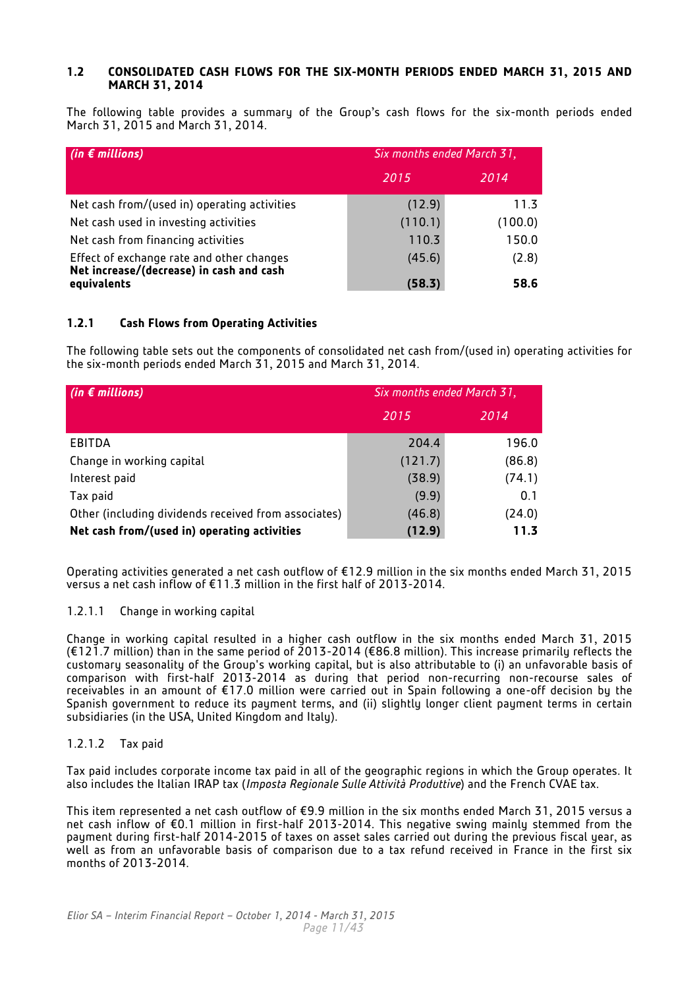## **1.2 CONSOLIDATED CASH FLOWS FOR THE SIX-MONTH PERIODS ENDED MARCH 31, 2015 AND MARCH 31, 2014**

The following table provides a summary of the Group's cash flows for the six-month periods ended March 31, 2015 and March 31, 2014.

| (in $\epsilon$ millions)                                                              | Six months ended March 31, |         |  |  |
|---------------------------------------------------------------------------------------|----------------------------|---------|--|--|
|                                                                                       | 2015                       | 2014    |  |  |
| Net cash from/(used in) operating activities                                          | (12.9)                     | 11.3    |  |  |
| Net cash used in investing activities                                                 | (110.1)                    | (100.0) |  |  |
| Net cash from financing activities                                                    | 110.3                      | 150.0   |  |  |
| Effect of exchange rate and other changes<br>Net increase/(decrease) in cash and cash | (45.6)                     | (2.8)   |  |  |
| equivalents                                                                           | (58.3)                     | 58.6    |  |  |

## **1.2.1 Cash Flows from Operating Activities**

The following table sets out the components of consolidated net cash from/(used in) operating activities for the six-month periods ended March 31, 2015 and March 31, 2014.

| (in $\epsilon$ millions)                             | Six months ended March 31, |        |  |  |
|------------------------------------------------------|----------------------------|--------|--|--|
|                                                      | 2015                       | 2014   |  |  |
| EBITDA                                               | 204.4                      | 196.0  |  |  |
| Change in working capital                            | (121.7)                    | (86.8) |  |  |
| Interest paid                                        | (38.9)                     | (74.1) |  |  |
| Tax paid                                             | (9.9)                      | 0.1    |  |  |
| Other (including dividends received from associates) | (46.8)                     | (24.0) |  |  |
| Net cash from/(used in) operating activities         | (12.9)                     | 11.3   |  |  |

Operating activities generated a net cash outflow of €12.9 million in the six months ended March 31, 2015 versus a net cash inflow of €11.3 million in the first half of 2013-2014.

## 1.2.1.1 Change in working capital

Change in working capital resulted in a higher cash outflow in the six months ended March 31, 2015 (€121.7 million) than in the same period of 2013-2014 (€86.8 million). This increase primarily reflects the customary seasonality of the Group's working capital, but is also attributable to (i) an unfavorable basis of comparison with first-half 2013-2014 as during that period non-recurring non-recourse sales of receivables in an amount of €17.0 million were carried out in Spain following a one-off decision by the Spanish government to reduce its payment terms, and (ii) slightly longer client payment terms in certain subsidiaries (in the USA, United Kingdom and Italy).

## 1.2.1.2 Tax paid

Tax paid includes corporate income tax paid in all of the geographic regions in which the Group operates. It also includes the Italian IRAP tax (*Imposta Regionale Sulle Attività Produttive*) and the French CVAE tax.

This item represented a net cash outflow of €9.9 million in the six months ended March 31, 2015 versus a net cash inflow of €0.1 million in first-half 2013-2014. This negative swing mainly stemmed from the payment during first-half 2014-2015 of taxes on asset sales carried out during the previous fiscal year, as well as from an unfavorable basis of comparison due to a tax refund received in France in the first six months of 2013-2014.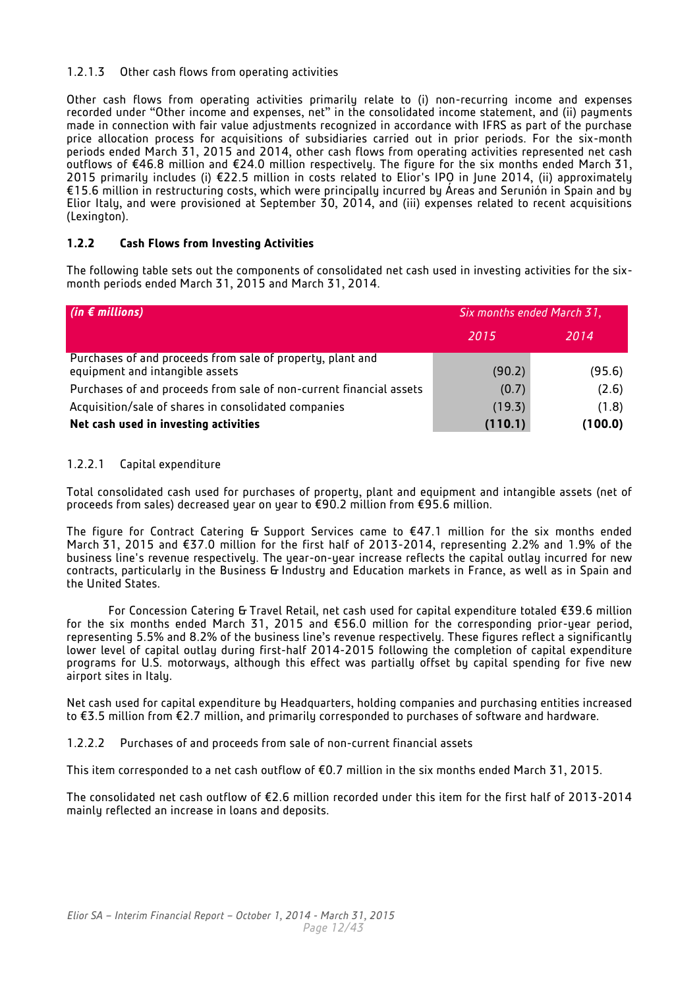## 1.2.1.3 Other cash flows from operating activities

Other cash flows from operating activities primarily relate to (i) non-recurring income and expenses recorded under "Other income and expenses, net" in the consolidated income statement, and (ii) payments made in connection with fair value adjustments recognized in accordance with IFRS as part of the purchase price allocation process for acquisitions of subsidiaries carried out in prior periods. For the six-month periods ended March 31, 2015 and 2014, other cash flows from operating activities represented net cash outflows of €46.8 million and €24.0 million respectively. The figure for the six months ended March 31, 2015 primarily includes (i) €22.5 million in costs related to Elior's IPO in June 2014, (ii) approximately €15.6 million in restructuring costs, which were principally incurred by Áreas and Serunión in Spain and by Elior Italy, and were provisioned at September 30, 2014, and (iii) expenses related to recent acquisitions (Lexington).

## **1.2.2 Cash Flows from Investing Activities**

The following table sets out the components of consolidated net cash used in investing activities for the sixmonth periods ended March 31, 2015 and March 31, 2014.

| (in $\epsilon$ millions)                                                                      | Six months ended March 31, |         |  |
|-----------------------------------------------------------------------------------------------|----------------------------|---------|--|
|                                                                                               | 2015                       | 2014    |  |
| Purchases of and proceeds from sale of property, plant and<br>equipment and intangible assets | (90.2)                     | (95.6)  |  |
| Purchases of and proceeds from sale of non-current financial assets                           | (0.7)                      | (2.6)   |  |
| Acquisition/sale of shares in consolidated companies                                          | (19.3)                     | (1.8)   |  |
| Net cash used in investing activities                                                         | (110.1)                    | (100.0) |  |

## 1.2.2.1 Capital expenditure

Total consolidated cash used for purchases of property, plant and equipment and intangible assets (net of proceeds from sales) decreased year on year to €90.2 million from €95.6 million.

The figure for Contract Catering & Support Services came to  $E$ 47.1 million for the six months ended March 31, 2015 and €37.0 million for the first half of 2013-2014, representing 2.2% and 1.9% of the business line's revenue respectively. The year-on-year increase reflects the capital outlay incurred for new contracts, particularly in the Business & Industry and Education markets in France, as well as in Spain and the United States.

For Concession Catering & Travel Retail, net cash used for capital expenditure totaled €39.6 million for the six months ended March 31, 2015 and  $$56.0$  million for the corresponding prior-year period, representing 5.5% and 8.2% of the business line's revenue respectively. These figures reflect a significantly lower level of capital outlay during first-half 2014-2015 following the completion of capital expenditure programs for U.S. motorways, although this effect was partially offset by capital spending for five new airport sites in Italy.

Net cash used for capital expenditure by Headquarters, holding companies and purchasing entities increased to €3.5 million from €2.7 million, and primarily corresponded to purchases of software and hardware.

1.2.2.2 Purchases of and proceeds from sale of non-current financial assets

This item corresponded to a net cash outflow of €0.7 million in the six months ended March 31, 2015.

The consolidated net cash outflow of €2.6 million recorded under this item for the first half of 2013-2014 mainly reflected an increase in loans and deposits.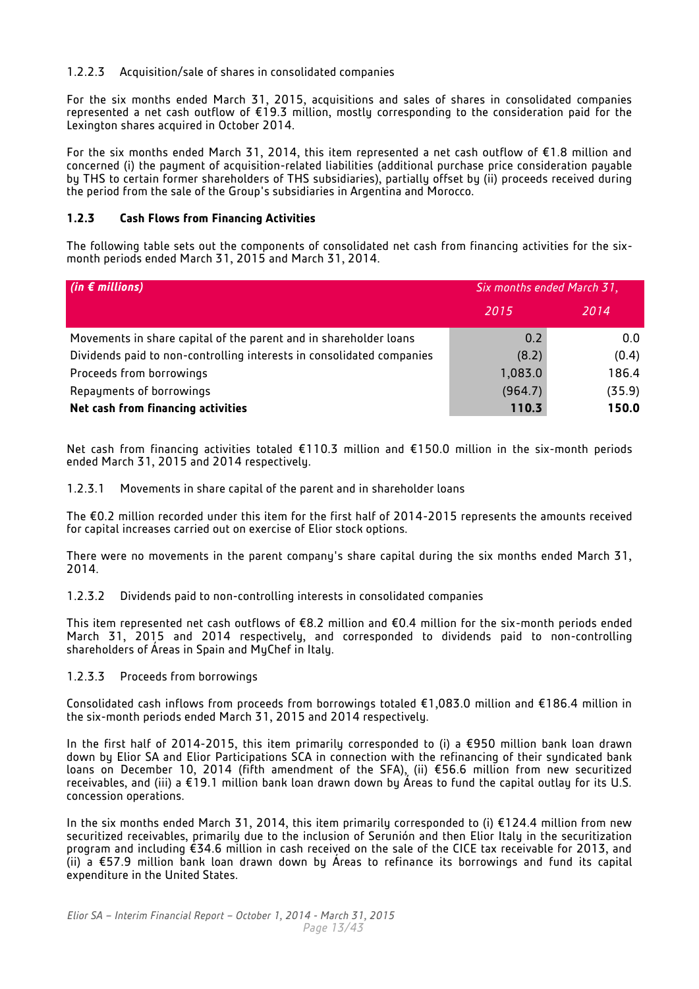## 1.2.2.3 Acquisition/sale of shares in consolidated companies

For the six months ended March 31, 2015, acquisitions and sales of shares in consolidated companies represented a net cash outflow of €19.3 million, mostly corresponding to the consideration paid for the Lexington shares acquired in October 2014.

For the six months ended March 31, 2014, this item represented a net cash outflow of €1.8 million and concerned (i) the payment of acquisition-related liabilities (additional purchase price consideration payable by THS to certain former shareholders of THS subsidiaries), partially offset by (ii) proceeds received during the period from the sale of the Group's subsidiaries in Argentina and Morocco.

## **1.2.3 Cash Flows from Financing Activities**

The following table sets out the components of consolidated net cash from financing activities for the sixmonth periods ended March 31, 2015 and March 31, 2014.

| (in $\epsilon$ millions)                                              | Six months ended March 31, |        |  |
|-----------------------------------------------------------------------|----------------------------|--------|--|
|                                                                       | 2015                       | 2014   |  |
| Movements in share capital of the parent and in shareholder loans     | 0.2                        | 0.0    |  |
| Dividends paid to non-controlling interests in consolidated companies | (8.2)                      | (0.4)  |  |
| Proceeds from borrowings                                              | 1,083.0                    | 186.4  |  |
| Repayments of borrowings                                              | (964.7)                    | (35.9) |  |
| Net cash from financing activities                                    | 110.3                      | 150.0  |  |

Net cash from financing activities totaled €110.3 million and €150.0 million in the six-month periods ended March 31, 2015 and 2014 respectively.

1.2.3.1 Movements in share capital of the parent and in shareholder loans

The €0.2 million recorded under this item for the first half of 2014-2015 represents the amounts received for capital increases carried out on exercise of Elior stock options.

There were no movements in the parent company's share capital during the six months ended March 31, 2014.

1.2.3.2 Dividends paid to non-controlling interests in consolidated companies

This item represented net cash outflows of €8.2 million and €0.4 million for the six-month periods ended March 31, 2015 and 2014 respectively, and corresponded to dividends paid to non-controlling shareholders of Áreas in Spain and MyChef in Italy.

## 1.2.3.3 Proceeds from borrowings

Consolidated cash inflows from proceeds from borrowings totaled €1,083.0 million and €186.4 million in the six-month periods ended March 31, 2015 and 2014 respectively.

In the first half of 2014-2015, this item primarily corresponded to (i) a €950 million bank loan drawn down by Elior SA and Elior Participations SCA in connection with the refinancing of their syndicated bank loans on December 10, 2014 (fifth amendment of the SFA), (ii) €56.6 million from new securitized receivables, and (iii) a €19.1 million bank loan drawn down by Áreas to fund the capital outlay for its U.S. concession operations.

In the six months ended March 31, 2014, this item primarily corresponded to (i) €124.4 million from new securitized receivables, primarily due to the inclusion of Serunión and then Elior Italy in the securitization program and including €34.6 million in cash received on the sale of the CICE tax receivable for 2013, and (ii) a €57.9 million bank loan drawn down by Áreas to refinance its borrowings and fund its capital expenditure in the United States.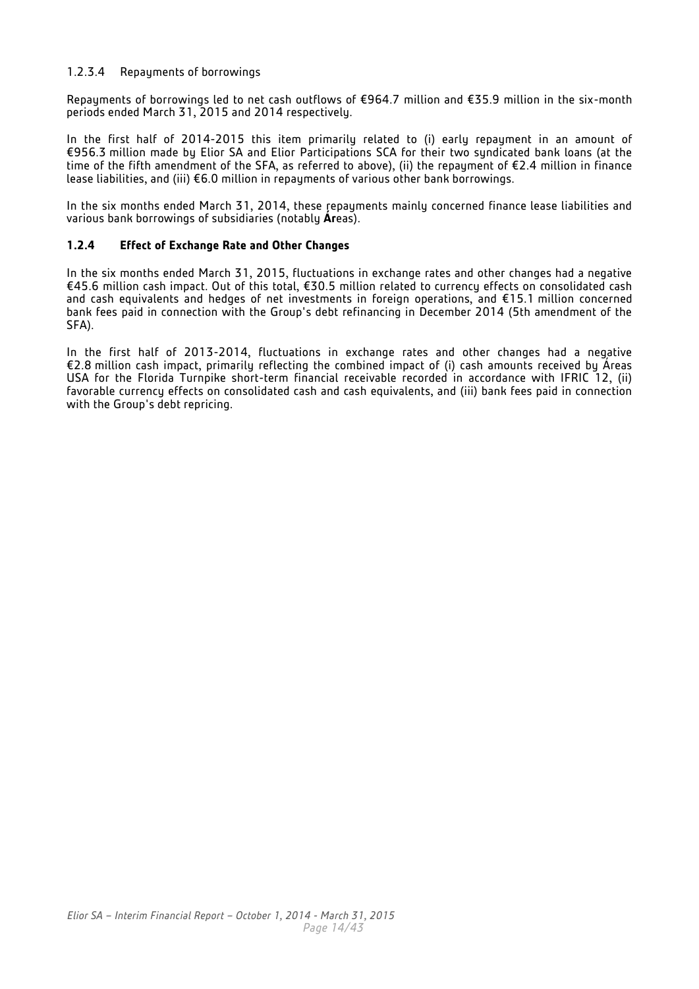## 1.2.3.4 Repayments of borrowings

Repayments of borrowings led to net cash outflows of €964.7 million and €35.9 million in the six-month periods ended March 31, 2015 and 2014 respectively.

In the first half of 2014-2015 this item primarily related to (i) early repayment in an amount of €956.3 million made by Elior SA and Elior Participations SCA for their two syndicated bank loans (at the time of the fifth amendment of the SFA, as referred to above), (ii) the repayment of €2.4 million in finance lease liabilities, and (iii) €6.0 million in repayments of various other bank borrowings.

In the six months ended March 31, 2014, these repayments mainly concerned finance lease liabilities and various bank borrowings of subsidiaries (notably **Ár**eas).

#### **1.2.4 Effect of Exchange Rate and Other Changes**

In the six months ended March 31, 2015, fluctuations in exchange rates and other changes had a negative €45.6 million cash impact. Out of this total, €30.5 million related to currency effects on consolidated cash and cash equivalents and hedges of net investments in foreign operations, and €15.1 million concerned bank fees paid in connection with the Group's debt refinancing in December 2014 (5th amendment of the SFA).

In the first half of 2013-2014, fluctuations in exchange rates and other changes had a negative €2.8 million cash impact, primarily reflecting the combined impact of (i) cash amounts received by Áreas USA for the Florida Turnpike short-term financial receivable recorded in accordance with IFRIC 12, (ii) favorable currency effects on consolidated cash and cash equivalents, and (iii) bank fees paid in connection with the Group's debt repricing.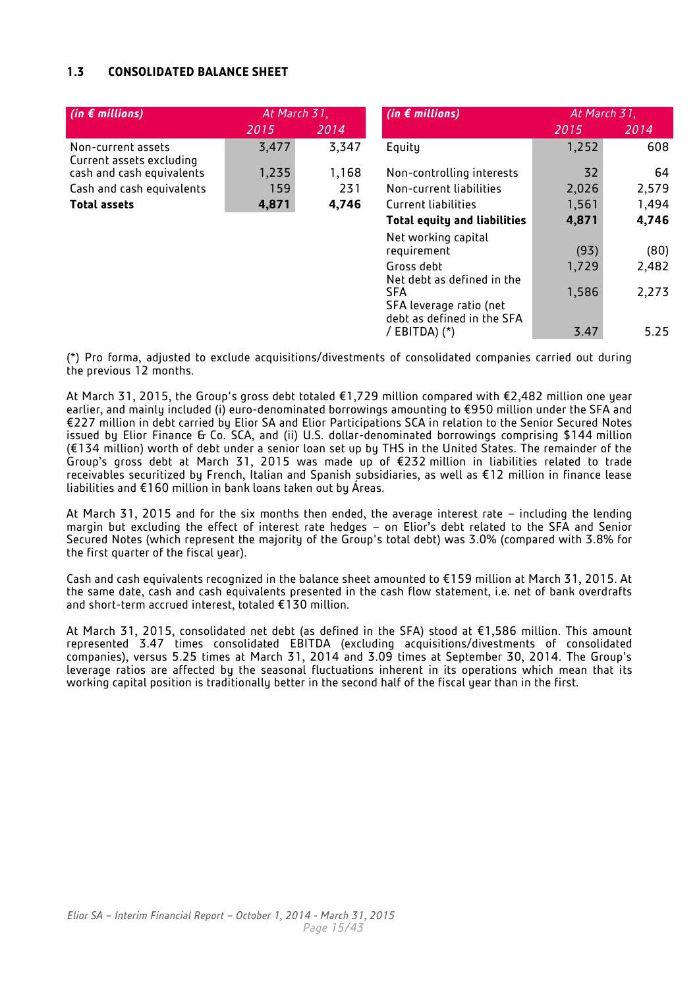## **1.3 CONSOLIDATED BALANCE SHEET**

| (in $\epsilon$ millions)                       |       | At March 31, | (in $\epsilon$ millions)                                            | At March 31, |       |  |
|------------------------------------------------|-------|--------------|---------------------------------------------------------------------|--------------|-------|--|
|                                                | 2015  | 2014         |                                                                     | 2015         | 2014  |  |
| Non-current assets<br>Current assets excluding | 3,477 | 3,347        | Equity                                                              | 1,252        | 608   |  |
| cash and cash equivalents                      | 1,235 | 1,168        | Non-controlling interests                                           | 32           | 64    |  |
| Cash and cash equivalents                      | 159   | 231          | Non-current liabilities                                             | 2,026        | 2,579 |  |
| <b>Total assets</b>                            | 4,871 | 4,746        | Current liabilities                                                 | 1,561        | 1,494 |  |
|                                                |       |              | <b>Total equity and liabilities</b>                                 | 4,871        | 4,746 |  |
|                                                |       |              | Net working capital<br>requirement                                  | (93)         | (80)  |  |
|                                                |       |              | Gross debt<br>Net debt as defined in the                            | 1,729        | 2,482 |  |
|                                                |       |              | <b>SFA</b><br>SFA leverage ratio (net<br>debt as defined in the SFA | 1,586        | 2,273 |  |
|                                                |       |              | / EBITDA) $(*)$                                                     | 3.47         | 5.25  |  |

(\*) Pro forma, adjusted to exclude acquisitions/divestments of consolidated companies carried out during the previous 12 months.

At March 31, 2015, the Group's gross debt totaled €1,729 million compared with €2,482 million one year earlier, and mainly included (i) euro-denominated borrowings amounting to €950 million under the SFA and €227 million in debt carried by Elior SA and Elior Participations SCA in relation to the Senior Secured Notes issued by Elior Finance & Co. SCA, and (ii) U.S. dollar-denominated borrowings comprising \$144 million (€134 million) worth of debt under a senior loan set up by THS in the United States. The remainder of the Group's gross debt at March 31, 2015 was made up of €232 million in liabilities related to trade receivables securitized by French, Italian and Spanish subsidiaries, as well as €12 million in finance lease liabilities and €160 million in bank loans taken out by Áreas.

At March 31, 2015 and for the six months then ended, the average interest rate – including the lending margin but excluding the effect of interest rate hedges – on Elior's debt related to the SFA and Senior Secured Notes (which represent the majority of the Group's total debt) was 3.0% (compared with 3.8% for the first quarter of the fiscal year).

Cash and cash equivalents recognized in the balance sheet amounted to €159 million at March 31, 2015. At the same date, cash and cash equivalents presented in the cash flow statement, i.e. net of bank overdrafts and short-term accrued interest, totaled €130 million.

At March 31, 2015, consolidated net debt (as defined in the SFA) stood at €1,586 million. This amount represented 3.47 times consolidated EBITDA (excluding acquisitions/divestments of consolidated companies), versus 5.25 times at March 31, 2014 and 3.09 times at September 30, 2014. The Group's leverage ratios are affected by the seasonal fluctuations inherent in its operations which mean that its working capital position is traditionally better in the second half of the fiscal year than in the first.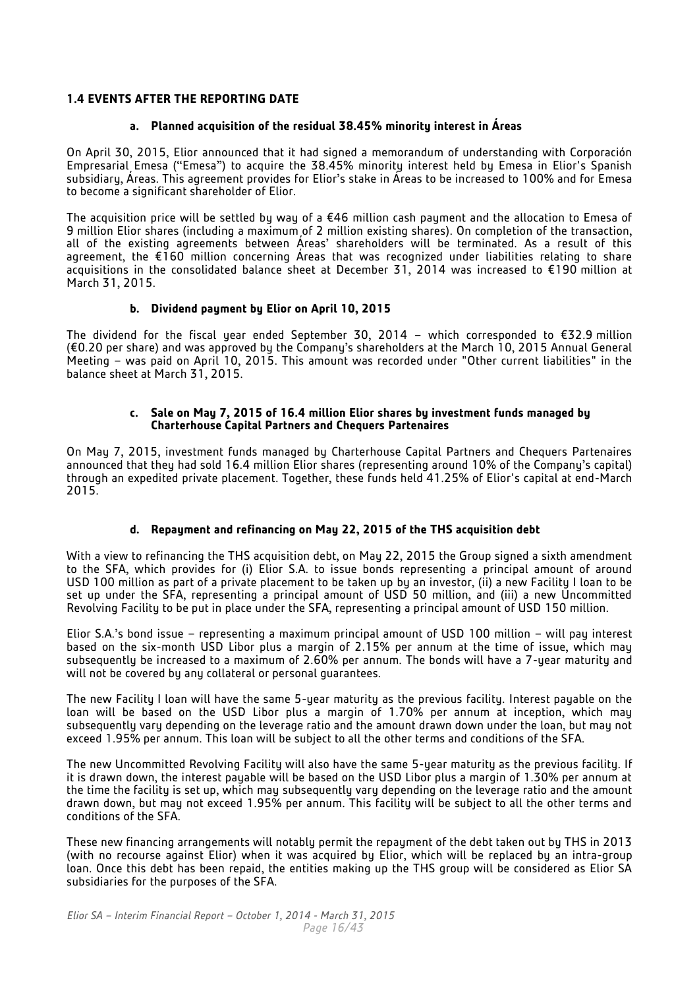## **1.4 EVENTS AFTER THE REPORTING DATE**

#### **a. Planned acquisition of the residual 38.45% minority interest in Áreas**

On April 30, 2015, Elior announced that it had signed a memorandum of understanding with Corporación Empresarial Emesa ("Emesa") to acquire the 38.45% minority interest held by Emesa in Elior's Spanish subsidiary, Áreas. This agreement provides for Elior's stake in Áreas to be increased to 100% and for Emesa to become a significant shareholder of Elior.

The acquisition price will be settled by way of a €46 million cash payment and the allocation to Emesa of 9 million Elior shares (including a maximum of 2 million existing shares). On completion of the transaction, all of the existing agreements between Áreas' shareholders will be terminated. As a result of this agreement, the €160 million concerning Áreas that was recognized under liabilities relating to share acquisitions in the consolidated balance sheet at December 31, 2014 was increased to €190 million at March 31, 2015.

## **b. Dividend payment by Elior on April 10, 2015**

The dividend for the fiscal year ended September 30, 2014 – which corresponded to €32.9 million (€0.20 per share) and was approved by the Company's shareholders at the March 10, 2015 Annual General Meeting – was paid on April 10, 2015. This amount was recorded under "Other current liabilities" in the balance sheet at March 31, 2015.

#### **c. Sale on May 7, 2015 of 16.4 million Elior shares by investment funds managed by Charterhouse Capital Partners and Chequers Partenaires**

On May 7, 2015, investment funds managed by Charterhouse Capital Partners and Chequers Partenaires announced that they had sold 16.4 million Elior shares (representing around 10% of the Company's capital) through an expedited private placement. Together, these funds held 41.25% of Elior's capital at end-March 2015.

## **d. Repayment and refinancing on May 22, 2015 of the THS acquisition debt**

With a view to refinancing the THS acquisition debt, on May 22, 2015 the Group signed a sixth amendment to the SFA, which provides for (i) Elior S.A. to issue bonds representing a principal amount of around USD 100 million as part of a private placement to be taken up by an investor, (ii) a new Facility I loan to be set up under the SFA, representing a principal amount of USD 50 million, and (iii) a new Uncommitted Revolving Facility to be put in place under the SFA, representing a principal amount of USD 150 million.

Elior S.A.'s bond issue – representing a maximum principal amount of USD 100 million – will pay interest based on the six-month USD Libor plus a margin of 2.15% per annum at the time of issue, which may subsequently be increased to a maximum of 2.60% per annum. The bonds will have a 7-year maturity and will not be covered by any collateral or personal guarantees.

The new Facility I loan will have the same 5-year maturity as the previous facility. Interest payable on the loan will be based on the USD Libor plus a margin of 1.70% per annum at inception, which may subsequently vary depending on the leverage ratio and the amount drawn down under the loan, but may not exceed 1.95% per annum. This loan will be subject to all the other terms and conditions of the SFA.

The new Uncommitted Revolving Facility will also have the same 5-year maturity as the previous facility. If it is drawn down, the interest payable will be based on the USD Libor plus a margin of 1.30% per annum at the time the facility is set up, which may subsequently vary depending on the leverage ratio and the amount drawn down, but may not exceed 1.95% per annum. This facility will be subject to all the other terms and conditions of the SFA.

These new financing arrangements will notably permit the repayment of the debt taken out by THS in 2013 (with no recourse against Elior) when it was acquired by Elior, which will be replaced by an intra-group loan. Once this debt has been repaid, the entities making up the THS group will be considered as Elior SA subsidiaries for the purposes of the SFA.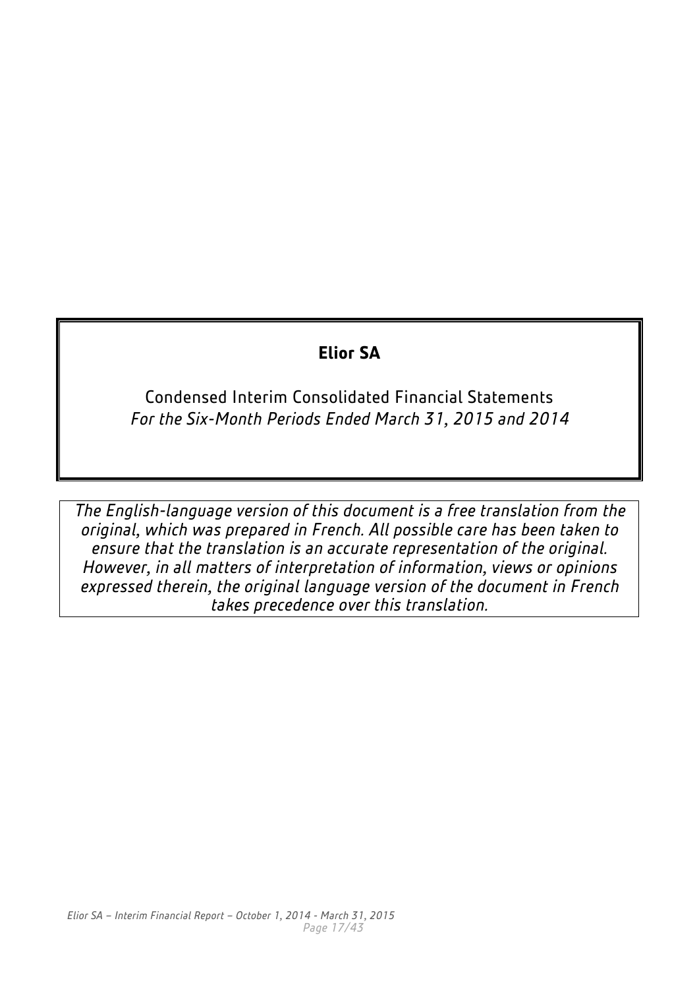## **Elior SA**

Condensed Interim Consolidated Financial Statements *For the Six-Month Periods Ended March 31, 2015 and 2014*

*The English-language version of this document is a free translation from the original, which was prepared in French. All possible care has been taken to ensure that the translation is an accurate representation of the original. However, in all matters of interpretation of information, views or opinions expressed therein, the original language version of the document in French takes precedence over this translation.*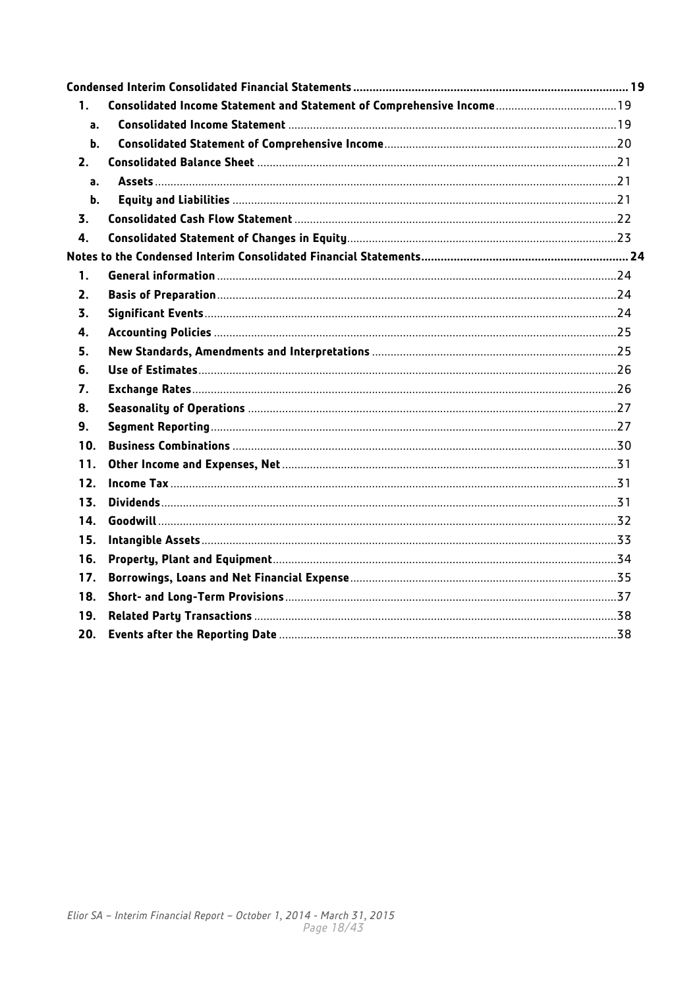| 1.            |  |
|---------------|--|
| a.            |  |
| b.            |  |
| 2.            |  |
| a.            |  |
| $\mathbf b$ . |  |
| 3.            |  |
| 4.            |  |
|               |  |
| 1.            |  |
| 2.            |  |
| 3.            |  |
| 4.            |  |
| 5.            |  |
| 6.            |  |
| 7.            |  |
| 8.            |  |
| 9.            |  |
| 10.           |  |
| 11.           |  |
| 12.           |  |
| 13.           |  |
| 14.           |  |
| 15.           |  |
| 16.           |  |
| 17.           |  |
| 18.           |  |
| 19.           |  |
| 20.           |  |
|               |  |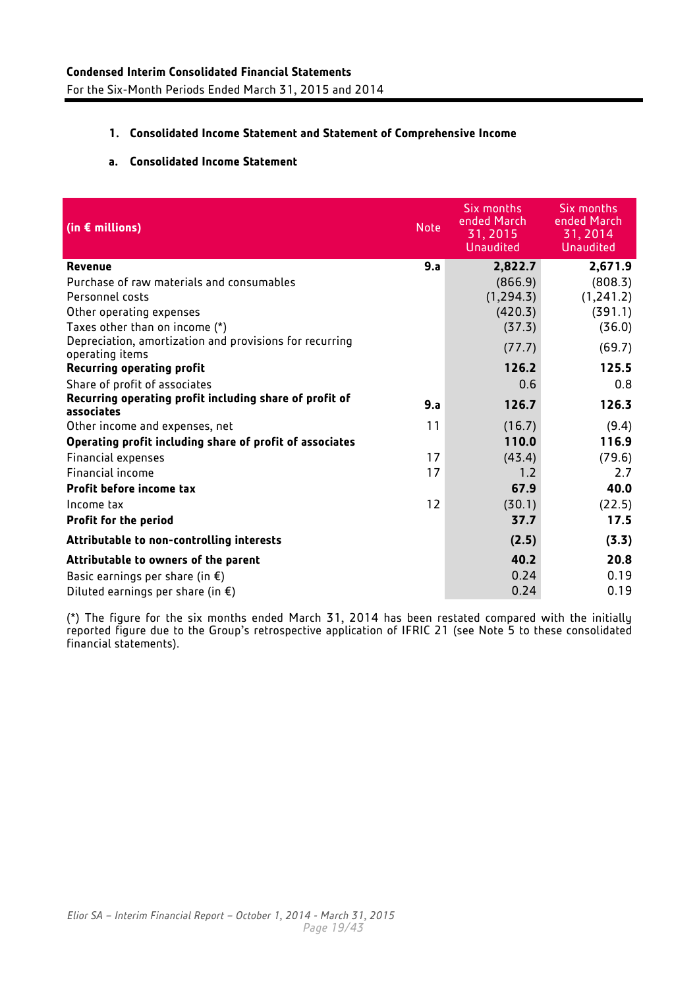## <span id="page-18-1"></span><span id="page-18-0"></span>**1. Consolidated Income Statement and Statement of Comprehensive Income**

## **a. Consolidated Income Statement**

<span id="page-18-2"></span>

| (in $\epsilon$ millions)                                                   | <b>Note</b> | Six months<br>ended March<br>31, 2015<br><b>Unaudited</b> | Six months<br>ended March<br>31, 2014<br><b>Unaudited</b> |
|----------------------------------------------------------------------------|-------------|-----------------------------------------------------------|-----------------------------------------------------------|
| Revenue                                                                    | 9.a         | 2,822.7                                                   | 2,671.9                                                   |
| Purchase of raw materials and consumables                                  |             | (866.9)                                                   | (808.3)                                                   |
| Personnel costs                                                            |             | (1, 294.3)                                                | (1,241.2)                                                 |
| Other operating expenses                                                   |             | (420.3)                                                   | (391.1)                                                   |
| Taxes other than on income (*)                                             |             | (37.3)                                                    | (36.0)                                                    |
| Depreciation, amortization and provisions for recurring<br>operating items |             | (77.7)                                                    | (69.7)                                                    |
| <b>Recurring operating profit</b>                                          |             | 126.2                                                     | 125.5                                                     |
| Share of profit of associates                                              |             | 0.6                                                       | 0.8                                                       |
| Recurring operating profit including share of profit of<br>associates      | 9.a         | 126.7                                                     | 126.3                                                     |
| Other income and expenses, net                                             | 11          | (16.7)                                                    | (9.4)                                                     |
| Operating profit including share of profit of associates                   |             | 110.0                                                     | 116.9                                                     |
| <b>Financial expenses</b>                                                  | 17          | (43.4)                                                    | (79.6)                                                    |
| Financial income                                                           | 17          | 1.2                                                       | 2.7                                                       |
| Profit before income tax                                                   |             | 67.9                                                      | 40.0                                                      |
| Income tax                                                                 | 12          | (30.1)                                                    | (22.5)                                                    |
| <b>Profit for the period</b>                                               |             | 37.7                                                      | 17.5                                                      |
| Attributable to non-controlling interests                                  |             | (2.5)                                                     | (3.3)                                                     |
| Attributable to owners of the parent                                       |             | 40.2                                                      | 20.8                                                      |
| Basic earnings per share (in $\xi$ )                                       |             | 0.24                                                      | 0.19                                                      |
| Diluted earnings per share (in $\epsilon$ )                                |             | 0.24                                                      | 0.19                                                      |

(\*) The figure for the six months ended March 31, 2014 has been restated compared with the initially reported figure due to the Group's retrospective application of IFRIC 21 (see Note 5 to these consolidated financial statements).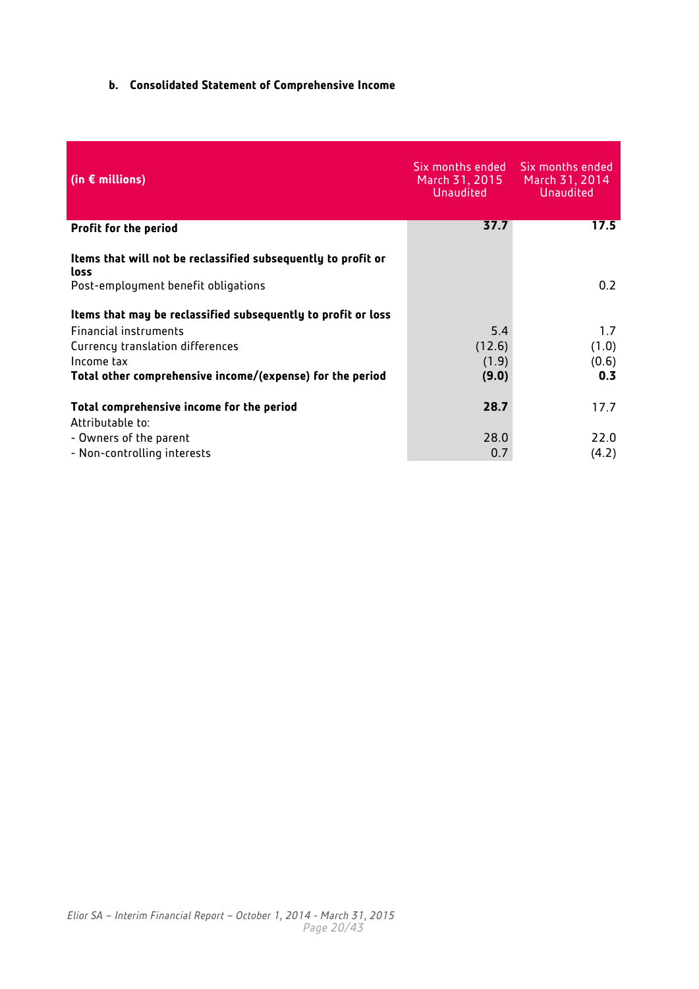## <span id="page-19-0"></span>**b. Consolidated Statement of Comprehensive Income**

| (in $\epsilon$ millions)                                              | Six months ended<br>March 31, 2015<br><b>Unaudited</b> | Six months ended<br>March 31, 2014<br><b>Unaudited</b> |
|-----------------------------------------------------------------------|--------------------------------------------------------|--------------------------------------------------------|
| <b>Profit for the period</b>                                          | 37.7                                                   | 17.5                                                   |
| Items that will not be reclassified subsequently to profit or<br>loss |                                                        |                                                        |
| Post-employment benefit obligations                                   |                                                        | 0.2                                                    |
| Items that may be reclassified subsequently to profit or loss         |                                                        |                                                        |
| Financial instruments                                                 | 5.4                                                    | 1.7                                                    |
| Currency translation differences<br>Income tax                        | (12.6)                                                 | (1.0)                                                  |
| Total other comprehensive income/(expense) for the period             | (1.9)<br>(9.0)                                         | (0.6)<br>0.3                                           |
| Total comprehensive income for the period<br>Attributable to:         | 28.7                                                   | 17.7                                                   |
| - Owners of the parent<br>- Non-controlling interests                 | 28.0<br>0.7                                            | 22.0<br>(4.2)                                          |
|                                                                       |                                                        |                                                        |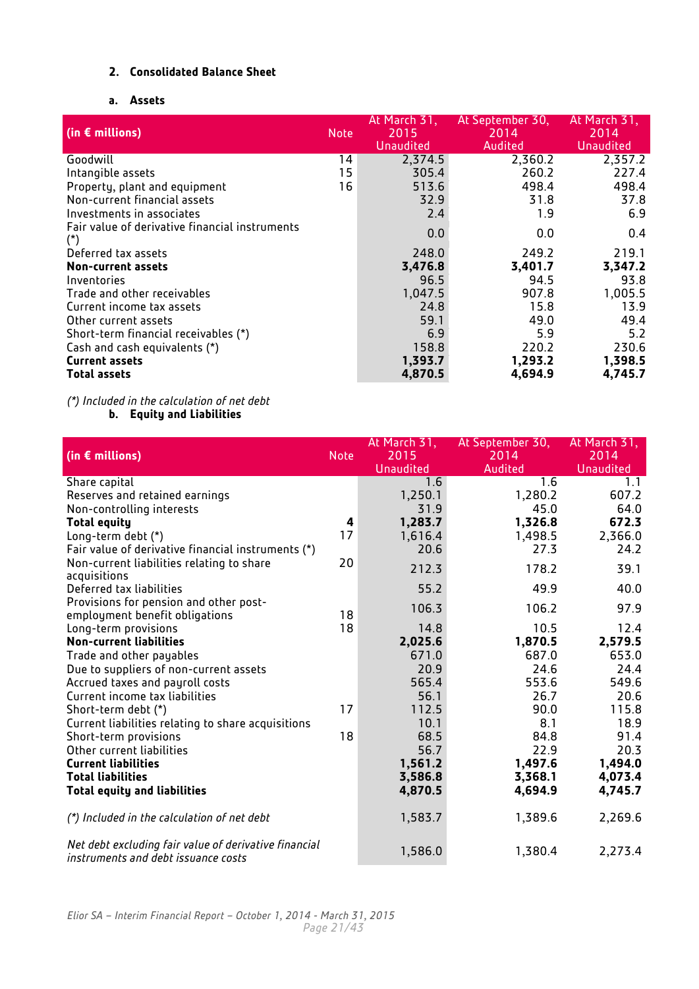## <span id="page-20-0"></span>**2. Consolidated Balance Sheet**

## **a. Assets**

<span id="page-20-1"></span>

| (in $\epsilon$ millions)                              | <b>Note</b> | At March 31,<br>2015<br><b>Unaudited</b> | At September 30,<br>2014<br>Audited | At March 31,<br>2014<br>Unaudited |
|-------------------------------------------------------|-------------|------------------------------------------|-------------------------------------|-----------------------------------|
| Goodwill                                              | 14          | 2,374.5                                  | 2,360.2                             | 2,357.2                           |
| Intangible assets                                     | 15          | 305.4                                    | 260.2                               | 227.4                             |
| Property, plant and equipment                         | 16          | 513.6                                    | 498.4                               | 498.4                             |
| Non-current financial assets                          |             | 32.9                                     | 31.8                                | 37.8                              |
| Investments in associates                             |             | 2.4                                      | 1.9                                 | 6.9                               |
| Fair value of derivative financial instruments<br>(*) |             | 0.0                                      | 0.0                                 | 0.4                               |
| Deferred tax assets                                   |             | 248.0                                    | 249.2                               | 219.1                             |
| Non-current assets                                    |             | 3,476.8                                  | 3,401.7                             | 3,347.2                           |
| Inventories                                           |             | 96.5                                     | 94.5                                | 93.8                              |
| Trade and other receivables                           |             | 1,047.5                                  | 907.8                               | 1,005.5                           |
| Current income tax assets                             |             | 24.8                                     | 15.8                                | 13.9                              |
| Other current assets                                  |             | 59.1                                     | 49.0                                | 49.4                              |
| Short-term financial receivables (*)                  |             | 6.9                                      | 5.9                                 | 5.2                               |
| Cash and cash equivalents (*)                         |             | 158.8                                    | 220.2                               | 230.6                             |
| <b>Current assets</b>                                 |             | 1,393.7                                  | 1,293.2                             | 1,398.5                           |
| <b>Total assets</b>                                   |             | 4,870.5                                  | 4,694.9                             | 4,745.7                           |

#### <span id="page-20-2"></span>*(\*) Included in the calculation of net debt*

**b. Equity and Liabilities**

| (in $\epsilon$ millions)                                                                     | <b>Note</b> | At March 31,<br>2015<br><b>Unaudited</b> | At September 30,<br>2014<br>Audited | At March 31,<br>2014<br><b>Unaudited</b> |
|----------------------------------------------------------------------------------------------|-------------|------------------------------------------|-------------------------------------|------------------------------------------|
| Share capital                                                                                |             | 1.6                                      | 1.6                                 | 1.1                                      |
| Reserves and retained earnings                                                               |             | 1,250.1                                  | 1,280.2                             | 607.2                                    |
| Non-controlling interests                                                                    |             | 31.9                                     | 45.0                                | 64.0                                     |
| <b>Total equity</b>                                                                          | 4           | 1,283.7                                  | 1,326.8                             | 672.3                                    |
| Long-term debt (*)                                                                           | 17          | 1,616.4                                  | 1,498.5                             | 2,366.0                                  |
| Fair value of derivative financial instruments (*)                                           |             | 20.6                                     | 27.3                                | 24.2                                     |
| Non-current liabilities relating to share<br>acquisitions                                    | 20          | 212.3                                    | 178.2                               | 39.1                                     |
| Deferred tax liabilities                                                                     |             | 55.2                                     | 49.9                                | 40.0                                     |
| Provisions for pension and other post-<br>employment benefit obligations                     | 18          | 106.3                                    | 106.2                               | 97.9                                     |
| Long-term provisions                                                                         | 18          | 14.8                                     | 10.5                                | 12.4                                     |
| <b>Non-current liabilities</b>                                                               |             | 2,025.6                                  | 1,870.5                             | 2,579.5                                  |
| Trade and other payables                                                                     |             | 671.0                                    | 687.0                               | 653.0                                    |
| Due to suppliers of non-current assets                                                       |             | 20.9                                     | 24.6                                | 24.4                                     |
| Accrued taxes and payroll costs                                                              |             | 565.4                                    | 553.6                               | 549.6                                    |
| Current income tax liabilities                                                               |             | 56.1                                     | 26.7                                | 20.6                                     |
| Short-term debt (*)                                                                          | 17          | 112.5                                    | 90.0                                | 115.8                                    |
| Current liabilities relating to share acquisitions                                           |             | 10.1                                     | 8.1                                 | 18.9                                     |
| Short-term provisions                                                                        | 18          | 68.5                                     | 84.8                                | 91.4                                     |
| Other current liabilities                                                                    |             | 56.7                                     | 22.9                                | 20.3                                     |
| <b>Current liabilities</b>                                                                   |             | 1,561.2                                  | 1,497.6                             | 1,494.0                                  |
| <b>Total liabilities</b>                                                                     |             | 3,586.8                                  | 3,368.1                             | 4,073.4                                  |
| <b>Total equity and liabilities</b>                                                          |             | 4,870.5                                  | 4,694.9                             | 4,745.7                                  |
| (*) Included in the calculation of net debt                                                  |             | 1,583.7                                  | 1,389.6                             | 2,269.6                                  |
| Net debt excluding fair value of derivative financial<br>instruments and debt issuance costs |             | 1,586.0                                  | 1,380.4                             | 2,273.4                                  |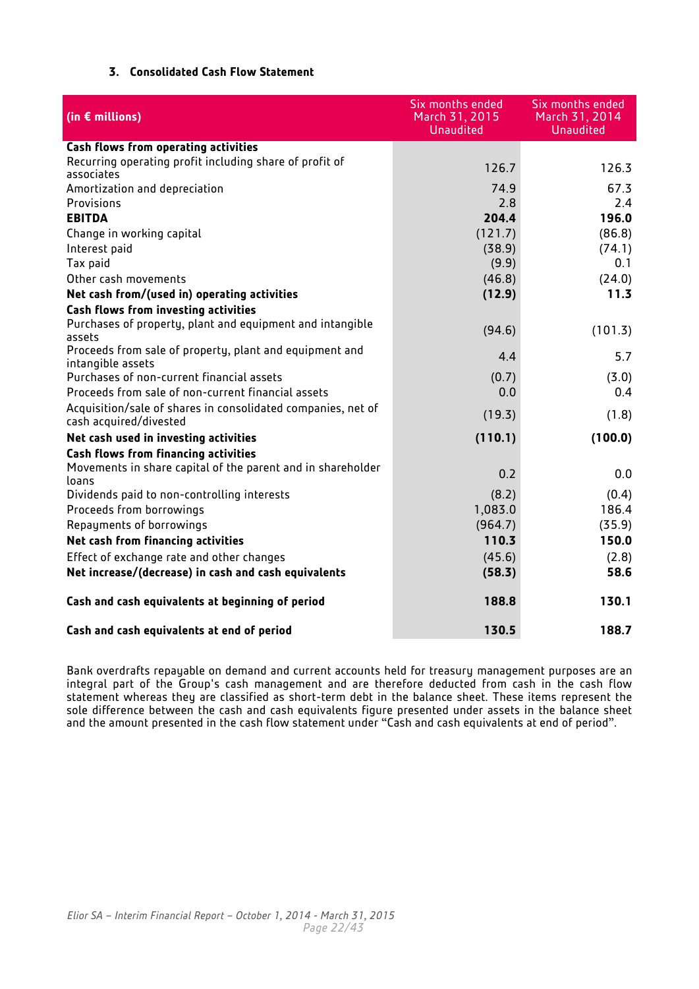## **3. Consolidated Cash Flow Statement**

<span id="page-21-0"></span>

| (in $\epsilon$ millions)                                                               | Six months ended<br>March 31, 2015<br><b>Unaudited</b> | Six months ended<br>March 31, 2014<br><b>Unaudited</b> |
|----------------------------------------------------------------------------------------|--------------------------------------------------------|--------------------------------------------------------|
| Cash flows from operating activities                                                   |                                                        |                                                        |
| Recurring operating profit including share of profit of<br>associates                  | 126.7                                                  | 126.3                                                  |
| Amortization and depreciation                                                          | 74.9                                                   | 67.3                                                   |
| Provisions                                                                             | 2.8                                                    | 2.4                                                    |
| <b>EBITDA</b>                                                                          | 204.4                                                  | 196.0                                                  |
| Change in working capital                                                              | (121.7)                                                | (86.8)                                                 |
| Interest paid                                                                          | (38.9)                                                 | (74.1)                                                 |
| Tax paid                                                                               | (9.9)                                                  | 0.1                                                    |
| Other cash movements                                                                   | (46.8)                                                 | (24.0)                                                 |
| Net cash from/(used in) operating activities                                           | (12.9)                                                 | 11.3                                                   |
| Cash flows from investing activities                                                   |                                                        |                                                        |
| Purchases of property, plant and equipment and intangible                              |                                                        |                                                        |
| assets                                                                                 | (94.6)                                                 | (101.3)                                                |
| Proceeds from sale of property, plant and equipment and<br>intangible assets           | 4.4                                                    | 5.7                                                    |
| Purchases of non-current financial assets                                              | (0.7)                                                  | (3.0)                                                  |
| Proceeds from sale of non-current financial assets                                     | 0.0                                                    | 0.4                                                    |
| Acquisition/sale of shares in consolidated companies, net of<br>cash acquired/divested | (19.3)                                                 | (1.8)                                                  |
| Net cash used in investing activities                                                  | (110.1)                                                | (100.0)                                                |
| <b>Cash flows from financing activities</b>                                            |                                                        |                                                        |
| Movements in share capital of the parent and in shareholder<br>loans                   | 0.2                                                    | 0.0                                                    |
| Dividends paid to non-controlling interests                                            | (8.2)                                                  | (0.4)                                                  |
| Proceeds from borrowings                                                               | 1,083.0                                                | 186.4                                                  |
| Repayments of borrowings                                                               | (964.7)                                                | (35.9)                                                 |
| Net cash from financing activities                                                     | 110.3                                                  | 150.0                                                  |
| Effect of exchange rate and other changes                                              | (45.6)                                                 | (2.8)                                                  |
| Net increase/(decrease) in cash and cash equivalents                                   | (58.3)                                                 | 58.6                                                   |
| Cash and cash equivalents at beginning of period                                       | 188.8                                                  | 130.1                                                  |
| Cash and cash equivalents at end of period                                             | 130.5                                                  | 188.7                                                  |

Bank overdrafts repayable on demand and current accounts held for treasury management purposes are an integral part of the Group's cash management and are therefore deducted from cash in the cash flow statement whereas they are classified as short-term debt in the balance sheet. These items represent the sole difference between the cash and cash equivalents figure presented under assets in the balance sheet and the amount presented in the cash flow statement under "Cash and cash equivalents at end of period".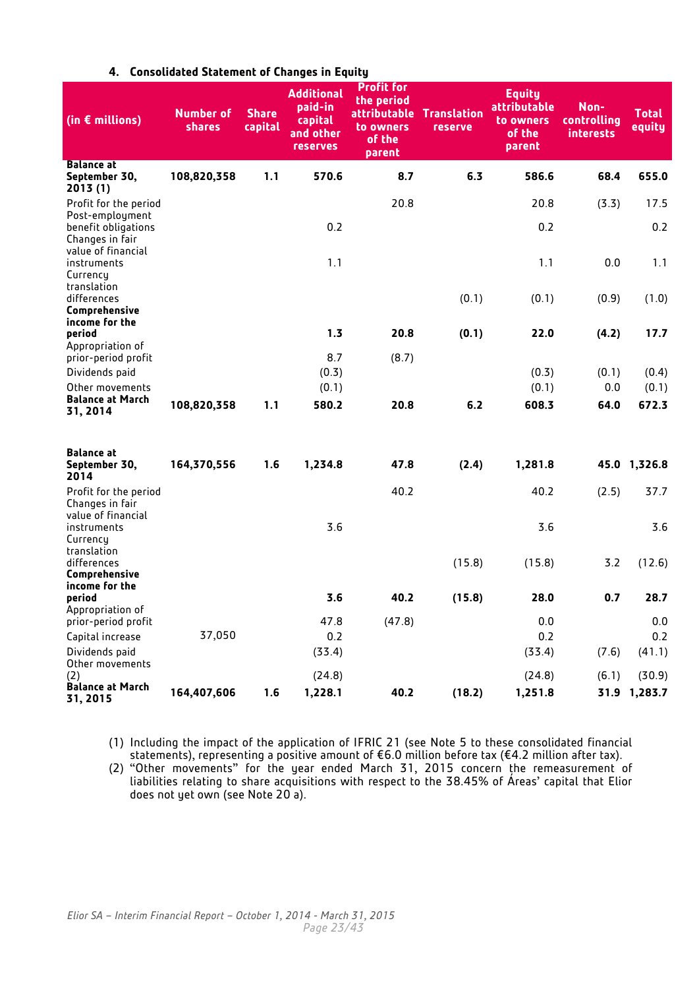<span id="page-22-0"></span>

| (in $\epsilon$ millions)                                       | <b>Number of</b><br><b>shares</b> | <b>Share</b><br>capital | <b>Additional</b><br>paid-in<br>capital<br>and other<br><b>reserves</b> | <b>Profit for</b><br>the period<br>attributable<br>to owners<br>of the<br>parent | <b>Translation</b><br><b>reserve</b> | <b>Equity</b><br>attributable<br>to owners<br>of the<br>parent | Non-<br>controlling<br><b>interests</b> | <b>Total</b><br>equity |
|----------------------------------------------------------------|-----------------------------------|-------------------------|-------------------------------------------------------------------------|----------------------------------------------------------------------------------|--------------------------------------|----------------------------------------------------------------|-----------------------------------------|------------------------|
| <b>Balance at</b><br>September 30,<br>2013 (1)                 | 108,820,358                       | 1.1                     | 570.6                                                                   | 8.7                                                                              | 6.3                                  | 586.6                                                          | 68.4                                    | 655.0                  |
| Profit for the period                                          |                                   |                         |                                                                         | 20.8                                                                             |                                      | 20.8                                                           | (3.3)                                   | 17.5                   |
| Post-employment<br>benefit obligations<br>Changes in fair      |                                   |                         | 0.2                                                                     |                                                                                  |                                      | 0.2                                                            |                                         | 0.2                    |
| value of financial<br>instruments<br>Currency                  |                                   |                         | 1.1                                                                     |                                                                                  |                                      | 1.1                                                            | 0.0                                     | 1.1                    |
| translation<br>differences<br>Comprehensive                    |                                   |                         |                                                                         |                                                                                  | (0.1)                                | (0.1)                                                          | (0.9)                                   | (1.0)                  |
| income for the<br>period                                       |                                   |                         | 1.3                                                                     | 20.8                                                                             | (0.1)                                | 22.0                                                           | (4.2)                                   | 17.7                   |
| Appropriation of<br>prior-period profit                        |                                   |                         | 8.7                                                                     | (8.7)                                                                            |                                      |                                                                |                                         |                        |
| Dividends paid                                                 |                                   |                         | (0.3)                                                                   |                                                                                  |                                      | (0.3)                                                          | (0.1)                                   | (0.4)                  |
| Other movements                                                |                                   |                         | (0.1)                                                                   |                                                                                  |                                      | (0.1)                                                          | 0.0                                     | (0.1)                  |
| <b>Balance at March</b><br>31, 2014                            | 108,820,358                       | 1.1                     | 580.2                                                                   | 20.8                                                                             | 6.2                                  | 608.3                                                          | 64.0                                    | 672.3                  |
| <b>Balance at</b><br>September 30,<br>2014                     | 164,370,556                       | 1.6                     | 1,234.8                                                                 | 47.8                                                                             | (2.4)                                | 1,281.8                                                        |                                         | 45.0 1,326.8           |
| Profit for the period<br>Changes in fair<br>value of financial |                                   |                         |                                                                         | 40.2                                                                             |                                      | 40.2                                                           | (2.5)                                   | 37.7                   |
| instruments<br>Currency                                        |                                   |                         | 3.6                                                                     |                                                                                  |                                      | 3.6                                                            |                                         | 3.6                    |
| translation<br>differences<br>Comprehensive                    |                                   |                         |                                                                         |                                                                                  | (15.8)                               | (15.8)                                                         | 3.2                                     | (12.6)                 |
| income for the<br>period<br>Appropriation of                   |                                   |                         | 3.6                                                                     | 40.2                                                                             | (15.8)                               | 28.0                                                           | 0.7                                     | 28.7                   |
| prior-period profit                                            |                                   |                         | 47.8                                                                    | (47.8)                                                                           |                                      | 0.0                                                            |                                         | 0.0                    |
| Capital increase                                               | 37,050                            |                         | 0.2                                                                     |                                                                                  |                                      | 0.2                                                            |                                         | 0.2                    |
| Dividends paid<br>Other movements                              |                                   |                         | (33.4)                                                                  |                                                                                  |                                      | (33.4)                                                         | (7.6)                                   | (41.1)                 |
| (2)                                                            |                                   |                         | (24.8)                                                                  |                                                                                  |                                      | (24.8)                                                         | (6.1)                                   | (30.9)                 |
| <b>Balance at March</b><br>31, 2015                            | 164,407,606                       | 1.6                     | 1,228.1                                                                 | 40.2                                                                             | (18.2)                               | 1,251.8                                                        |                                         | 31.9 1,283.7           |

## **4. Consolidated Statement of Changes in Equity**

(1) Including the impact of the application of IFRIC 21 (see Note 5 to these consolidated financial statements), representing a positive amount of €6.0 million before tax (€4.2 million after tax).

(2) "Other movements" for the year ended March 31, 2015 concern the remeasurement of liabilities relating to share acquisitions with respect to the 38.45% of Áreas' capital that Elior does not yet own (see Note 20 a).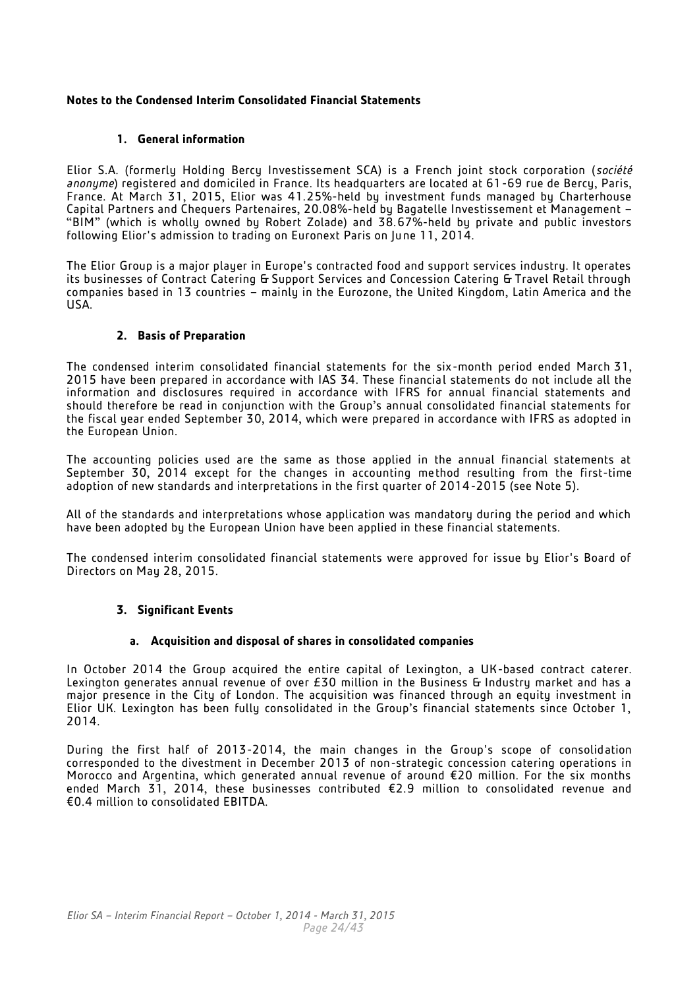## <span id="page-23-0"></span>**Notes to the Condensed Interim Consolidated Financial Statements**

## **1. General information**

<span id="page-23-1"></span>Elior S.A. (formerly Holding Bercy Investissement SCA) is a French joint stock corporation (*société anonyme*) registered and domiciled in France. Its headquarters are located at 61-69 rue de Bercy, Paris, France. At March 31, 2015, Elior was 41.25%-held by investment funds managed by Charterhouse Capital Partners and Chequers Partenaires, 20.08%-held by Bagatelle Investissement et Management – "BIM" (which is wholly owned by Robert Zolade) and 38.67%-held by private and public investors following Elior's admission to trading on Euronext Paris on June 11, 2014.

The Elior Group is a major player in Europe's contracted food and support services industry. It operates its businesses of Contract Catering & Support Services and Concession Catering & Travel Retail through companies based in 13 countries – mainly in the Eurozone, the United Kingdom, Latin America and the USA.

## **2. Basis of Preparation**

<span id="page-23-2"></span>The condensed interim consolidated financial statements for the six-month period ended March 31, 2015 have been prepared in accordance with IAS 34. These financial statements do not include all the information and disclosures required in accordance with IFRS for annual financial statements and should therefore be read in conjunction with the Group's annual consolidated financial statements for the fiscal year ended September 30, 2014, which were prepared in accordance with IFRS as adopted in the European Union.

The accounting policies used are the same as those applied in the annual financial statements at September 30, 2014 except for the changes in accounting method resulting from the first-time adoption of new standards and interpretations in the first quarter of 2014-2015 (see Note 5).

All of the standards and interpretations whose application was mandatory during the period and which have been adopted by the European Union have been applied in these financial statements.

The condensed interim consolidated financial statements were approved for issue by Elior's Board of Directors on May 28, 2015.

## <span id="page-23-3"></span>**3. Significant Events**

## **a. Acquisition and disposal of shares in consolidated companies**

In October 2014 the Group acquired the entire capital of Lexington, a UK-based contract caterer. Lexington generates annual revenue of over £30 million in the Business & Industry market and has a major presence in the City of London. The acquisition was financed through an equity investment in Elior UK. Lexington has been fully consolidated in the Group's financial statements since October 1, 2014.

During the first half of 2013-2014, the main changes in the Group's scope of consolidation corresponded to the divestment in December 2013 of non-strategic concession catering operations in Morocco and Argentina, which generated annual revenue of around €20 million. For the six months ended March 31, 2014, these businesses contributed €2.9 million to consolidated revenue and €0.4 million to consolidated EBITDA.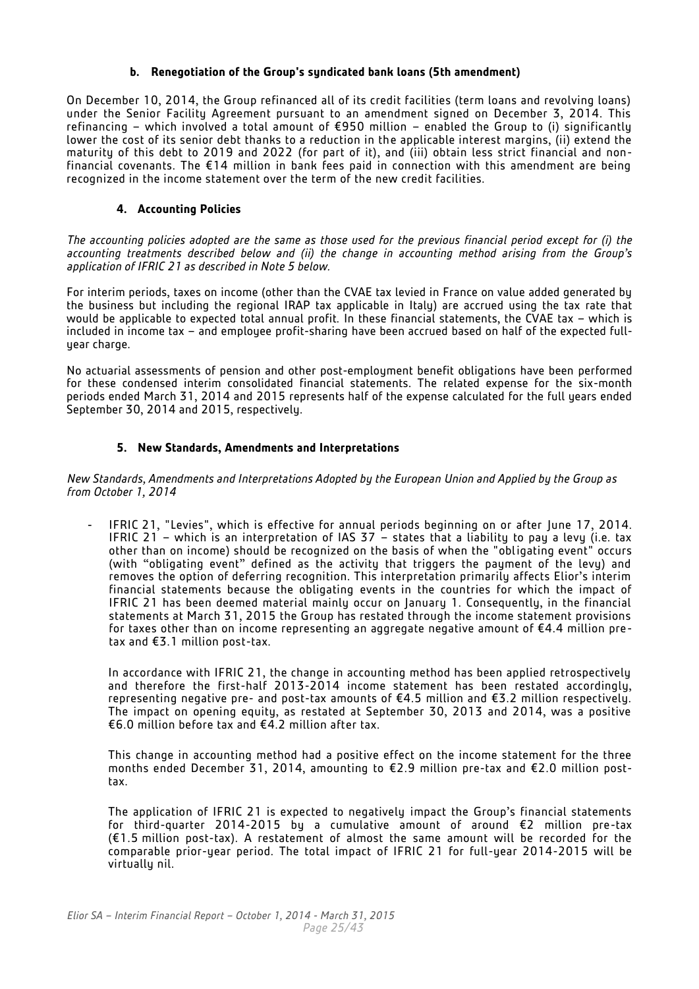#### **b. Renegotiation of the Group's syndicated bank loans (5th amendment)**

On December 10, 2014, the Group refinanced all of its credit facilities (term loans and revolving loans) under the Senior Facility Agreement pursuant to an amendment signed on December 3, 2014. This refinancing – which involved a total amount of €950 million – enabled the Group to (i) significantly lower the cost of its senior debt thanks to a reduction in the applicable interest margins, (ii) extend the maturity of this debt to 2019 and 2022 (for part of it), and (iii) obtain less strict financial and nonfinancial covenants. The €14 million in bank fees paid in connection with this amendment are being recognized in the income statement over the term of the new credit facilities.

#### **4. Accounting Policies**

<span id="page-24-0"></span>*The accounting policies adopted are the same as those used for the previous financial period except for (i) the accounting treatments described below and (ii) the change in accounting method arising from the Group's application of IFRIC 21 as described in Note 5 below.*

For interim periods, taxes on income (other than the CVAE tax levied in France on value added generated by the business but including the regional IRAP tax applicable in Italy) are accrued using the tax rate that would be applicable to expected total annual profit. In these financial statements, the CVAE tax – which is included in income tax – and employee profit-sharing have been accrued based on half of the expected fullyear charge.

No actuarial assessments of pension and other post-employment benefit obligations have been performed for these condensed interim consolidated financial statements. The related expense for the six-month periods ended March 31, 2014 and 2015 represents half of the expense calculated for the full years ended September 30, 2014 and 2015, respectively.

#### **5. New Standards, Amendments and Interpretations**

<span id="page-24-1"></span>*New Standards, Amendments and Interpretations Adopted by the European Union and Applied by the Group as from October 1, 2014*

IFRIC 21, "Levies", which is effective for annual periods beginning on or after June 17, 2014. IFRIC 21 – which is an interpretation of IAS 37 – states that a liability to pay a levy (i.e. tax other than on income) should be recognized on the basis of when the "obligating event" occurs (with "obligating event" defined as the activity that triggers the payment of the levy) and removes the option of deferring recognition. This interpretation primarily affects Elior's interim financial statements because the obligating events in the countries for which the impact of IFRIC 21 has been deemed material mainly occur on January 1. Consequently, in the financial statements at March 31, 2015 the Group has restated through the income statement provisions for taxes other than on income representing an aggregate negative amount of  $E4.4$  million pretax and €3.1 million post-tax.

In accordance with IFRIC 21, the change in accounting method has been applied retrospectively and therefore the first-half 2013-2014 income statement has been restated accordingly, representing negative pre- and post-tax amounts of  $\epsilon$ 4.5 million and  $\epsilon$ 3.2 million respectively. The impact on opening equity, as restated at September 30, 2013 and 2014, was a positive €6.0 million before tax and €4.2 million after tax.

This change in accounting method had a positive effect on the income statement for the three months ended December 31, 2014, amounting to €2.9 million pre-tax and €2.0 million posttax.

The application of IFRIC 21 is expected to negatively impact the Group's financial statements for third-quarter 2014-2015 by a cumulative amount of around €2 million pre-tax (€1.5 million post-tax). A restatement of almost the same amount will be recorded for the comparable prior-year period. The total impact of IFRIC 21 for full-year 2014-2015 will be virtually nil.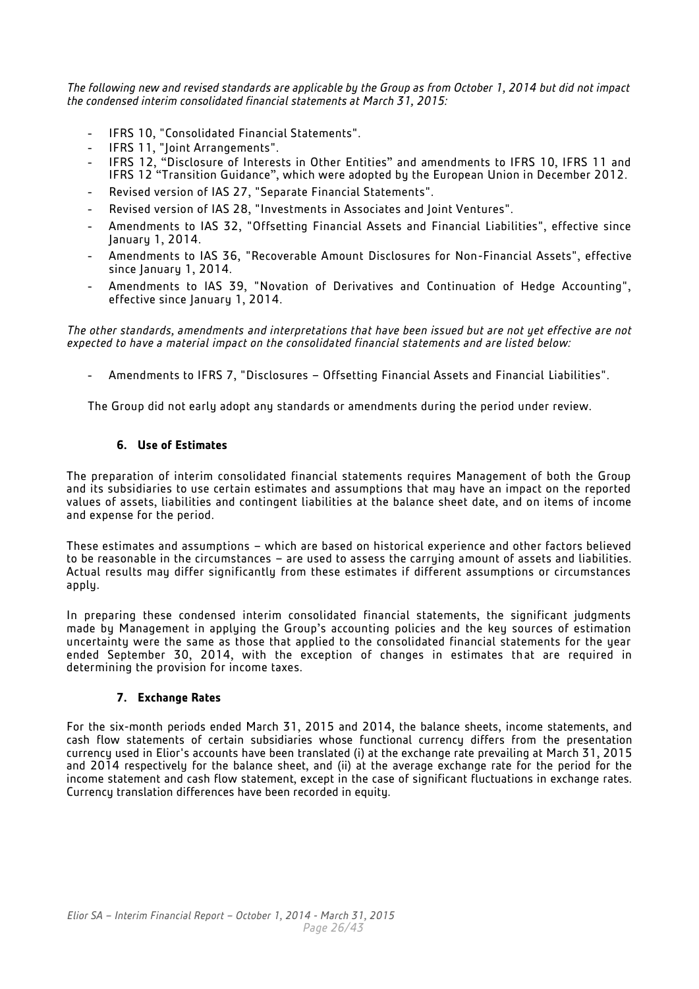*The following new and revised standards are applicable by the Group as from October 1, 2014 but did not impact the condensed interim consolidated financial statements at March 31, 2015:*

- IFRS 10, "Consolidated Financial Statements".
- IFRS 11, "Joint Arrangements".
- IFRS 12, "Disclosure of Interests in Other Entities" and amendments to IFRS 10, IFRS 11 and IFRS 12 "Transition Guidance", which were adopted by the European Union in December 2012.
- Revised version of IAS 27, "Separate Financial Statements".
- Revised version of IAS 28, "Investments in Associates and Joint Ventures".
- Amendments to IAS 32, "Offsetting Financial Assets and Financial Liabilities", effective since January 1, 2014.
- Amendments to IAS 36, "Recoverable Amount Disclosures for Non-Financial Assets", effective since January 1, 2014.
- Amendments to IAS 39, "Novation of Derivatives and Continuation of Hedge Accounting", effective since January 1, 2014.

*The other standards, amendments and interpretations that have been issued but are not yet effective are not expected to have a material impact on the consolidated financial statements and are listed below:* 

- Amendments to IFRS 7, "Disclosures – Offsetting Financial Assets and Financial Liabilities".

The Group did not early adopt any standards or amendments during the period under review.

## **6. Use of Estimates**

<span id="page-25-0"></span>The preparation of interim consolidated financial statements requires Management of both the Group and its subsidiaries to use certain estimates and assumptions that may have an impact on the reported values of assets, liabilities and contingent liabilities at the balance sheet date, and on items of income and expense for the period.

These estimates and assumptions – which are based on historical experience and other factors believed to be reasonable in the circumstances – are used to assess the carrying amount of assets and liabilities. Actual results may differ significantly from these estimates if different assumptions or circumstances apply.

In preparing these condensed interim consolidated financial statements, the significant judgments made by Management in applying the Group's accounting policies and the key sources of estimation uncertainty were the same as those that applied to the consolidated financial statements for the year ended September 30, 2014, with the exception of changes in estimates that are required in determining the provision for income taxes.

## **7. Exchange Rates**

<span id="page-25-1"></span>For the six-month periods ended March 31, 2015 and 2014, the balance sheets, income statements, and cash flow statements of certain subsidiaries whose functional currency differs from the presentation currency used in Elior's accounts have been translated (i) at the exchange rate prevailing at March 31, 2015 and 2014 respectively for the balance sheet, and (ii) at the average exchange rate for the period for the income statement and cash flow statement, except in the case of significant fluctuations in exchange rates. Currency translation differences have been recorded in equity.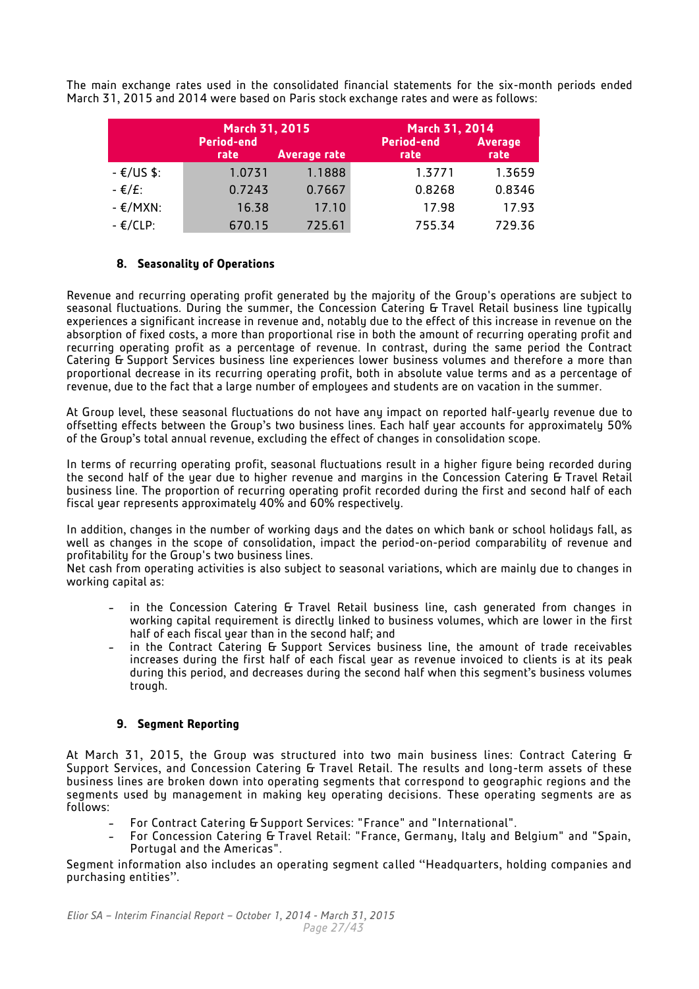The main exchange rates used in the consolidated financial statements for the six-month periods ended March 31, 2015 and 2014 were based on Paris stock exchange rates and were as follows:

|                       | March 31, 2015            |                     | March 31, 2014            |                        |
|-----------------------|---------------------------|---------------------|---------------------------|------------------------|
|                       | <b>Period-end</b><br>rate | <b>Average rate</b> | <b>Period-end</b><br>rate | <b>Average</b><br>rate |
| $ \varepsilon$ /US\$: | 1.0731                    | 1.1888              | 1.3771                    | 1.3659                 |
| - €/£:                | 0.7243                    | 0.7667              | 0.8268                    | 0.8346                 |
| $ \varepsilon$ /MXN:  | 16.38                     | 17.10               | 17.98                     | 17.93                  |
| $ \varepsilon$ /CLP:  | 670.15                    | 725.61              | 755.34                    | 729.36                 |

## **8. Seasonality of Operations**

<span id="page-26-0"></span>Revenue and recurring operating profit generated by the majority of the Group's operations are subject to seasonal fluctuations. During the summer, the Concession Catering & Travel Retail business line typically experiences a significant increase in revenue and, notably due to the effect of this increase in revenue on the absorption of fixed costs, a more than proportional rise in both the amount of recurring operating profit and recurring operating profit as a percentage of revenue. In contrast, during the same period the Contract Catering & Support Services business line experiences lower business volumes and therefore a more than proportional decrease in its recurring operating profit, both in absolute value terms and as a percentage of revenue, due to the fact that a large number of employees and students are on vacation in the summer.

At Group level, these seasonal fluctuations do not have any impact on reported half-yearly revenue due to offsetting effects between the Group's two business lines. Each half year accounts for approximately 50% of the Group's total annual revenue, excluding the effect of changes in consolidation scope.

In terms of recurring operating profit, seasonal fluctuations result in a higher figure being recorded during the second half of the year due to higher revenue and margins in the Concession Catering & Travel Retail business line. The proportion of recurring operating profit recorded during the first and second half of each fiscal year represents approximately 40% and 60% respectively.

In addition, changes in the number of working days and the dates on which bank or school holidays fall, as well as changes in the scope of consolidation, impact the period-on-period comparability of revenue and profitability for the Group's two business lines.

Net cash from operating activities is also subject to seasonal variations, which are mainly due to changes in working capital as:

- in the Concession Catering & Travel Retail business line, cash generated from changes in working capital requirement is directly linked to business volumes, which are lower in the first half of each fiscal year than in the second half; and
- in the Contract Catering & Support Services business line, the amount of trade receivables increases during the first half of each fiscal year as revenue invoiced to clients is at its peak during this period, and decreases during the second half when this segment's business volumes trough.

## **9. Segment Reporting**

<span id="page-26-1"></span>At March 31, 2015, the Group was structured into two main business lines: Contract Catering & Support Services, and Concession Catering & Travel Retail. The results and long-term assets of these business lines are broken down into operating segments that correspond to geographic regions and the segments used by management in making key operating decisions. These operating segments are as follows:

- For Contract Catering & Support Services: "France" and "International".
- For Concession Catering & Travel Retail: "France, Germany, Italy and Belgium" and "Spain, Portugal and the Americas".

Segment information also includes an operating segment called ''Headquarters, holding companies and purchasing entities''.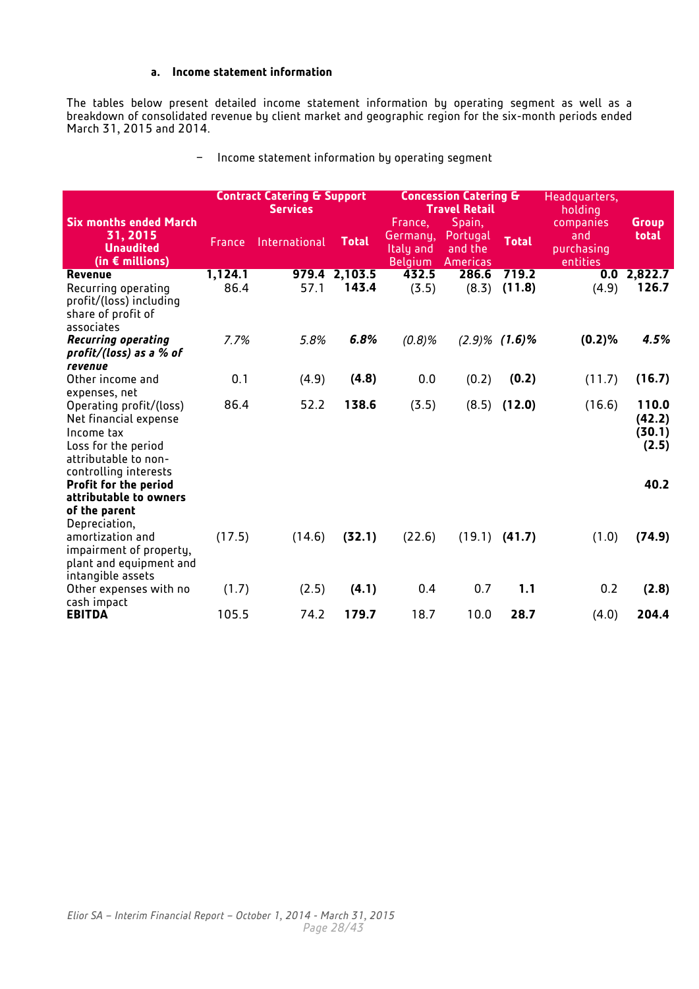## **a. Income statement information**

The tables below present detailed income statement information by operating segment as well as a breakdown of consolidated revenue by client market and geographic region for the six-month periods ended March 31, 2015 and 2014.

− Income statement information by operating segment

|                                                                                                                               | <b>Contract Catering &amp; Support</b><br><b>Services</b> |               |               |                                                    | <b>Concession Catering &amp;</b><br><b>Travel Retail</b> | Headquarters,<br>holding |                                            |                                    |
|-------------------------------------------------------------------------------------------------------------------------------|-----------------------------------------------------------|---------------|---------------|----------------------------------------------------|----------------------------------------------------------|--------------------------|--------------------------------------------|------------------------------------|
| <b>Six months ended March</b><br>31, 2015<br><b>Unaudited</b><br>(in $\epsilon$ millions)                                     | France                                                    | International | <b>Total</b>  | France,<br>Germanu.<br>Italy and<br><b>Belgium</b> | Spain,<br>Portugal<br>and the<br><b>Americas</b>         | <b>Total</b>             | companies<br>and<br>purchasing<br>entities | <b>Group</b><br>total              |
| Revenue                                                                                                                       | 1,124.1                                                   |               | 979.4 2,103.5 | 432.5                                              | 286.6                                                    | 719.2                    | 0.0                                        | 2,822.7                            |
| Recurring operating<br>profit/(loss) including<br>share of profit of<br>associates                                            | 86.4                                                      | 57.1          | 143.4         | (3.5)                                              | (8.3)                                                    | (11.8)                   | (4.9)                                      | 126.7                              |
| <b>Recurring operating</b>                                                                                                    | 7.7%                                                      | 5.8%          | 6.8%          | (0.8)%                                             |                                                          | $(2.9)\%$ $(1.6)\%$      | (0.2)%                                     | 4.5%                               |
| profit/(loss) as a $%$ of<br>revenue                                                                                          |                                                           |               |               |                                                    |                                                          |                          |                                            |                                    |
| Other income and<br>expenses, net                                                                                             | 0.1                                                       | (4.9)         | (4.8)         | 0.0                                                | (0.2)                                                    | (0.2)                    | (11.7)                                     | (16.7)                             |
| Operating profit/(loss)<br>Net financial expense<br>Income tax<br>Loss for the period<br>attributable to non-                 | 86.4                                                      | 52.2          | 138.6         | (3.5)                                              |                                                          | $(8.5)$ $(12.0)$         | (16.6)                                     | 110.0<br>(42.2)<br>(30.1)<br>(2.5) |
| controlling interests<br><b>Profit for the period</b><br>attributable to owners                                               |                                                           |               |               |                                                    |                                                          |                          |                                            | 40.2                               |
| of the parent<br>Depreciation,<br>amortization and<br>impairment of property,<br>plant and equipment and<br>intangible assets | (17.5)                                                    | (14.6)        | (32.1)        | (22.6)                                             |                                                          | $(19.1)$ $(41.7)$        | (1.0)                                      | (74.9)                             |
| Other expenses with no<br>cash impact                                                                                         | (1.7)                                                     | (2.5)         | (4.1)         | 0.4                                                | 0.7                                                      | 1.1                      | 0.2                                        | (2.8)                              |
| <b>EBITDA</b>                                                                                                                 | 105.5                                                     | 74.2          | 179.7         | 18.7                                               | 10.0                                                     | 28.7                     | (4.0)                                      | 204.4                              |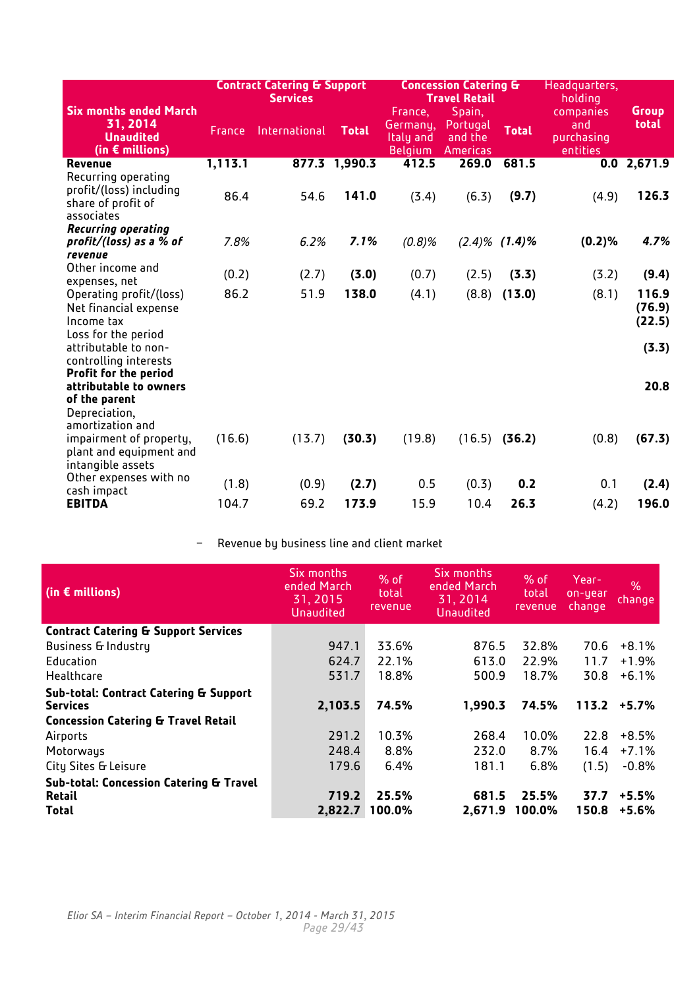|                                                                                                      |         | <b>Contract Catering &amp; Support</b><br><b>Services</b> |               | <b>Concession Catering &amp;</b><br><b>Travel Retail</b> | Headquarters,<br>holding                         |                     |                                            |                           |
|------------------------------------------------------------------------------------------------------|---------|-----------------------------------------------------------|---------------|----------------------------------------------------------|--------------------------------------------------|---------------------|--------------------------------------------|---------------------------|
| <b>Six months ended March</b><br>31, 2014<br><b>Unaudited</b><br>(in $\epsilon$ millions)            | France  | International                                             | <b>Total</b>  | France,<br>Germany,<br>Italy and<br><b>Belgium</b>       | Spain,<br>Portugal<br>and the<br><b>Americas</b> | <b>Total</b>        | companies<br>and<br>purchasing<br>entities | <b>Group</b><br>total     |
| Revenue                                                                                              | 1,113.1 |                                                           | 877.3 1,990.3 | 412.5                                                    | 269.0                                            | 681.5               |                                            | $0.0$ 2,671.9             |
| Recurring operating<br>profit/(loss) including<br>share of profit of<br>associates                   | 86.4    | 54.6                                                      | 141.0         | (3.4)                                                    | (6.3)                                            | (9.7)               | (4.9)                                      | 126.3                     |
| <b>Recurring operating</b>                                                                           |         |                                                           |               |                                                          |                                                  |                     |                                            |                           |
| profit/(loss) as a $%$ of<br>revenue                                                                 | 7.8%    | 6.2%                                                      | 7.1%          | (0.8)%                                                   |                                                  | $(2.4)\%$ $(1.4)\%$ | (0.2)%                                     | 4.7%                      |
| Other income and<br>expenses, net                                                                    | (0.2)   | (2.7)                                                     | (3.0)         | (0.7)                                                    | (2.5)                                            | (3.3)               | (3.2)                                      | (9.4)                     |
| Operating profit/(loss)<br>Net financial expense<br>Income tax                                       | 86.2    | 51.9                                                      | 138.0         | (4.1)                                                    | (8.8)                                            | (13.0)              | (8.1)                                      | 116.9<br>(76.9)<br>(22.5) |
| Loss for the period<br>attributable to non-<br>controlling interests<br><b>Profit for the period</b> |         |                                                           |               |                                                          |                                                  |                     |                                            | (3.3)                     |
| attributable to owners<br>of the parent<br>Depreciation,<br>amortization and                         |         |                                                           |               |                                                          |                                                  |                     |                                            | 20.8                      |
| impairment of property,<br>plant and equipment and<br>intangible assets                              | (16.6)  | (13.7)                                                    | (30.3)        | (19.8)                                                   |                                                  | $(16.5)$ (36.2)     | (0.8)                                      | (67.3)                    |
| Other expenses with no                                                                               | (1.8)   | (0.9)                                                     | (2.7)         | 0.5                                                      | (0.3)                                            | 0.2                 | 0.1                                        | (2.4)                     |
| cash impact<br><b>EBITDA</b>                                                                         | 104.7   | 69.2                                                      | 173.9         | 15.9                                                     | 10.4                                             | 26.3                | (4.2)                                      | 196.0                     |
|                                                                                                      |         |                                                           |               |                                                          |                                                  |                     |                                            |                           |

− Revenue by business line and client market

| (in $\epsilon$ millions)                           | Six months<br>ended March<br>31, 2015<br>Unaudited | % of<br>total<br>revenue | Six months<br>ended March<br>31, 2014<br>Unaudited | % of<br>total<br>revenue | Year-<br>on-year<br>change | $\%$<br>change |
|----------------------------------------------------|----------------------------------------------------|--------------------------|----------------------------------------------------|--------------------------|----------------------------|----------------|
| <b>Contract Catering &amp; Support Services</b>    |                                                    |                          |                                                    |                          |                            |                |
| <b>Business &amp; Industry</b>                     | 947.1                                              | 33.6%                    | 876.5                                              | 32.8%                    | 70.6                       | $+8.1%$        |
| Education                                          | 624.7                                              | 22.1%                    | 613.0                                              | 22.9%                    | 11.7                       | $+1.9%$        |
| Healthcare                                         | 531.7                                              | 18.8%                    | 500.9                                              | 18.7%                    | 30.8                       | $+6.1%$        |
| Sub-total: Contract Catering & Support             |                                                    |                          |                                                    |                          |                            |                |
| <b>Services</b>                                    | 2,103.5                                            | 74.5%                    | 1,990.3                                            | 74.5%                    | 113.2                      | $+5.7%$        |
| <b>Concession Catering &amp; Travel Retail</b>     |                                                    |                          |                                                    |                          |                            |                |
| Airports                                           | 291.2                                              | 10.3%                    | 268.4                                              | 10.0%                    | 22.8                       | $+8.5%$        |
| Motorways                                          | 248.4                                              | 8.8%                     | 232.0                                              | 8.7%                     | 16.4                       | $+7.1%$        |
| City Sites & Leisure                               | 179.6                                              | 6.4%                     | 181.1                                              | 6.8%                     | (1.5)                      | $-0.8%$        |
| <b>Sub-total: Concession Catering &amp; Travel</b> |                                                    |                          |                                                    |                          |                            |                |
| <b>Retail</b>                                      | 719.2                                              | 25.5%                    | 681.5                                              | 25.5%                    | 37.7                       | $+5.5%$        |
| <b>Total</b>                                       | 2,822.7                                            | 100.0%                   | 2,671.9                                            | 100.0%                   | 150.8                      | $+5.6%$        |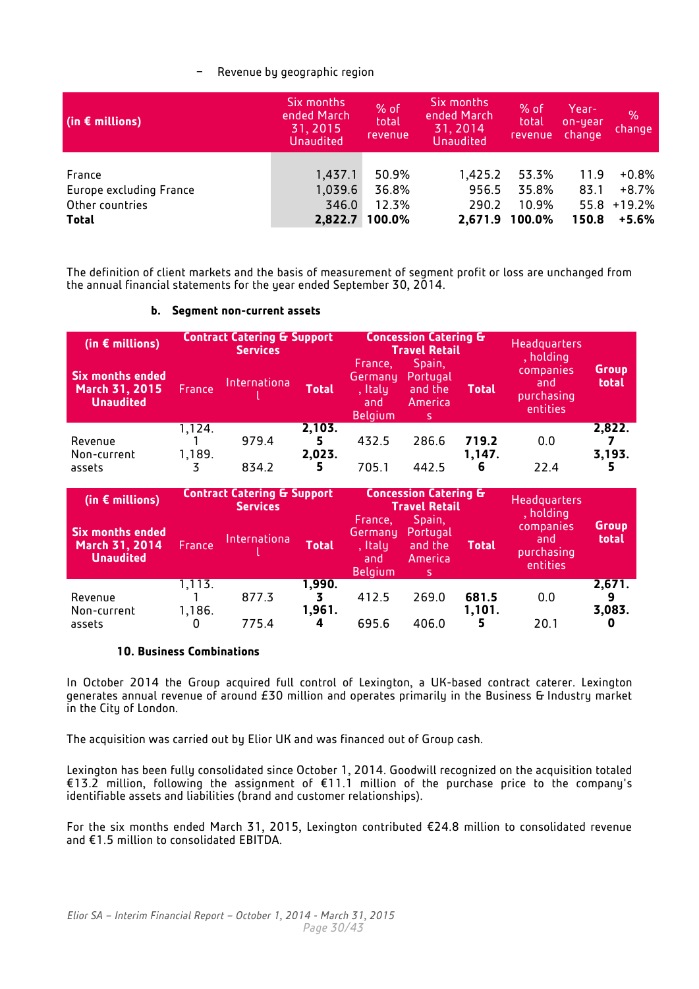## − Revenue by geographic region

| (in $\epsilon$ millions) | Six months<br>ended March<br>31, 2015<br><b>Unaudited</b> | % of<br>total<br>revenue | Six months<br>ended March<br>31, 2014<br><b>Unaudited</b> | % of<br>total<br>revenue | Year-<br>on-year<br>change | $\%$<br>change |
|--------------------------|-----------------------------------------------------------|--------------------------|-----------------------------------------------------------|--------------------------|----------------------------|----------------|
| France                   | 1,437.1                                                   | 50.9%                    | 1,425.2                                                   | 53.3%                    | 11.9                       | +0.8%          |
| Europe excluding France  | 1,039.6                                                   | 36.8%                    | 956.5                                                     | 35.8%                    | 83.1                       | +8.7%          |
| Other countries          | 346.0                                                     | 12.3%                    | 290.2                                                     | 10.9%                    | 55.8                       | $+19.2%$       |
| <b>Total</b>             | 2,822.7                                                   | 100.0%                   | 2,671.9                                                   | 100.0%                   | 150.8                      | +5.6%          |

The definition of client markets and the basis of measurement of segment profit or loss are unchanged from the annual financial statements for the year ended September 30, 2014.

| (in $\epsilon$ millions)                                      |                  | <b>Contract Catering &amp; Support</b><br><b>Concession Catering &amp;</b><br><b>Travel Retail</b><br><b>Services</b> |                  |                                                        |                                                |                 | <b>Headquarters</b>                        |                       |  | , holding |  |
|---------------------------------------------------------------|------------------|-----------------------------------------------------------------------------------------------------------------------|------------------|--------------------------------------------------------|------------------------------------------------|-----------------|--------------------------------------------|-----------------------|--|-----------|--|
| <b>Six months ended</b><br>March 31, 2015<br><b>Unaudited</b> | France           | Internationa                                                                                                          | <b>Total</b>     | France,<br>Germany<br>, Italy<br>and<br><b>Belgium</b> | Spain,<br>Portugal<br>and the<br>America<br>S. |                 | companies<br>and<br>purchasing<br>entities | <b>Group</b><br>total |  |           |  |
| Revenue<br>Non-current                                        | 1,124.<br>1,189. | 979.4                                                                                                                 | 2,103.<br>2,023. | 432.5                                                  | 286.6                                          | 719.2<br>1,147. | 0.0                                        | 2,822.<br>3,193.      |  |           |  |
| assets                                                        |                  | 834.2                                                                                                                 |                  | 705.1                                                  | 442.5                                          | 6               | 22.4                                       |                       |  |           |  |

## **b. Segment non-current assets**

| (in $\epsilon$ millions)                                      | <b>Contract Catering &amp; Support</b><br><b>Services</b> |              |                  | <b>Concession Catering &amp;</b><br><b>Travel Retail</b> |                                      | <b>Headquarters</b><br>Spain,<br>France, |                                            |                       |
|---------------------------------------------------------------|-----------------------------------------------------------|--------------|------------------|----------------------------------------------------------|--------------------------------------|------------------------------------------|--------------------------------------------|-----------------------|
| <b>Six months ended</b><br>March 31, 2014<br><b>Unaudited</b> | <b>France</b>                                             | Internationa | <b>Total</b>     | Germany<br>, Italy<br>and<br><b>Belgium</b>              | Portugal<br>and the<br>America<br>s. | <b>Total</b>                             | companies<br>and<br>purchasing<br>entities | <b>Group</b><br>total |
| Revenue<br>Non-current                                        | 1,113.<br>1,186.                                          | 877.3        | 1,990.<br>1,961. | 412.5                                                    | 269.0                                | 681.5<br>1,101.                          | 0.0                                        | 2,671.<br>3,083.      |
| assets                                                        |                                                           | 775.4        |                  | 695.6                                                    | 406.0                                |                                          | 20.1                                       |                       |

## **10. Business Combinations**

<span id="page-29-0"></span>In October 2014 the Group acquired full control of Lexington, a UK-based contract caterer. Lexington generates annual revenue of around £30 million and operates primarily in the Business & Industry market in the City of London.

The acquisition was carried out by Elior UK and was financed out of Group cash.

Lexington has been fully consolidated since October 1, 2014. Goodwill recognized on the acquisition totaled €13.2 million, following the assignment of €11.1 million of the purchase price to the company's identifiable assets and liabilities (brand and customer relationships).

For the six months ended March 31, 2015, Lexington contributed €24.8 million to consolidated revenue and €1.5 million to consolidated EBITDA.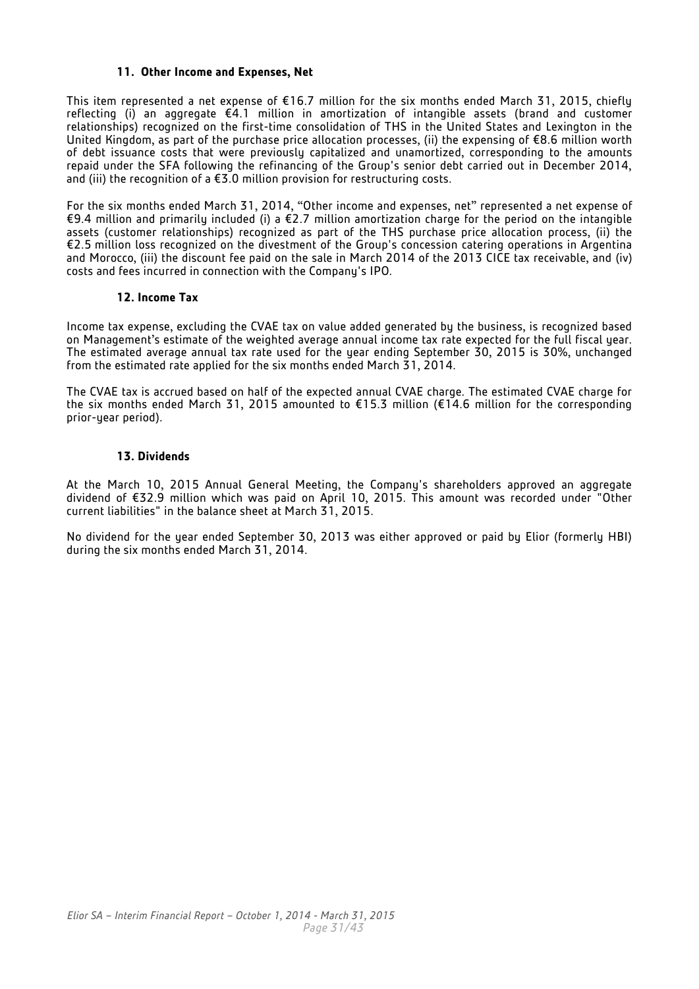#### <span id="page-30-0"></span>**11. Other Income and Expenses, Net**

This item represented a net expense of €16.7 million for the six months ended March 31, 2015, chiefly reflecting (i) an aggregate €4.1 million in amortization of intangible assets (brand and customer relationships) recognized on the first-time consolidation of THS in the United States and Lexington in the United Kingdom, as part of the purchase price allocation processes, (ii) the expensing of €8.6 million worth of debt issuance costs that were previously capitalized and unamortized, corresponding to the amounts repaid under the SFA following the refinancing of the Group's senior debt carried out in December 2014, and (iii) the recognition of a  $\epsilon$ 3.0 million provision for restructuring costs.

For the six months ended March 31, 2014, "Other income and expenses, net" represented a net expense of €9.4 million and primarily included (i) a €2.7 million amortization charge for the period on the intangible assets (customer relationships) recognized as part of the THS purchase price allocation process, (ii) the €2.5 million loss recognized on the divestment of the Group's concession catering operations in Argentina and Morocco, (iii) the discount fee paid on the sale in March 2014 of the 2013 CICE tax receivable, and (iv) costs and fees incurred in connection with the Company's IPO.

#### **12. Income Tax**

<span id="page-30-1"></span>Income tax expense, excluding the CVAE tax on value added generated by the business, is recognized based on Management's estimate of the weighted average annual income tax rate expected for the full fiscal year. The estimated average annual tax rate used for the year ending September 30, 2015 is 30%, unchanged from the estimated rate applied for the six months ended March 31, 2014.

The CVAE tax is accrued based on half of the expected annual CVAE charge. The estimated CVAE charge for the six months ended March 31, 2015 amounted to  $\epsilon$ 15.3 million ( $\epsilon$ 14.6 million for the corresponding prior-year period).

#### **13. Dividends**

<span id="page-30-2"></span>At the March 10, 2015 Annual General Meeting, the Company's shareholders approved an aggregate dividend of €32.9 million which was paid on April 10, 2015. This amount was recorded under "Other current liabilities" in the balance sheet at March 31, 2015.

No dividend for the year ended September 30, 2013 was either approved or paid by Elior (formerly HBI) during the six months ended March 31, 2014.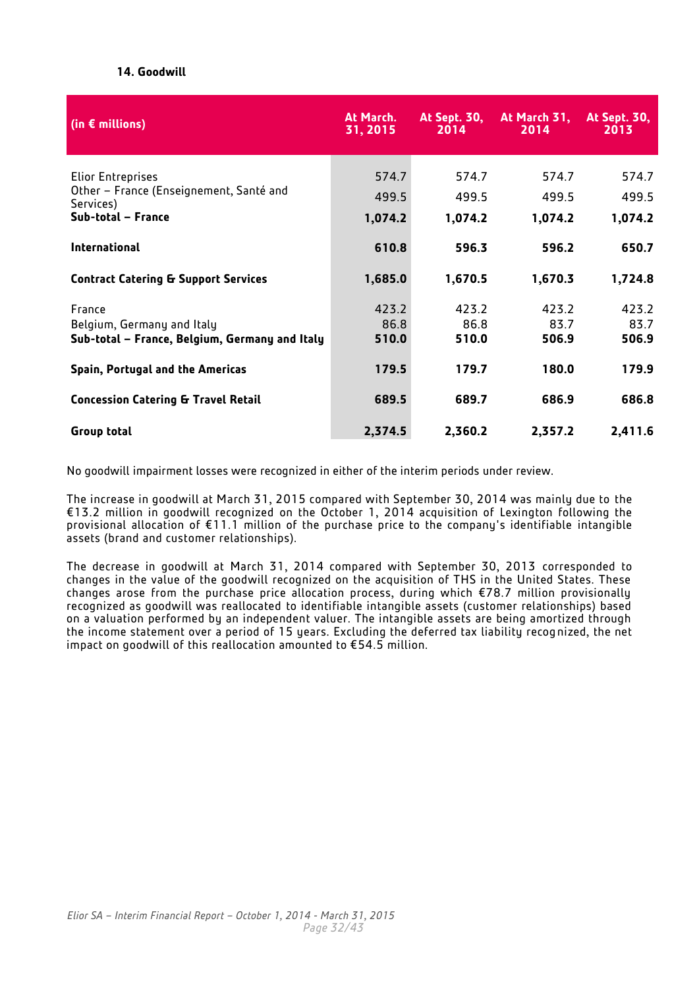## **14. Goodwill**

<span id="page-31-0"></span>

| (in $\epsilon$ millions)                             | At March.<br>31, 2015 | <b>At Sept. 30,</b><br>2014 | At March 31,<br>2014 | <b>At Sept. 30,</b><br>2013 |
|------------------------------------------------------|-----------------------|-----------------------------|----------------------|-----------------------------|
| Elior Entreprises                                    | 574.7                 | 574.7                       | 574.7                | 574.7                       |
| Other – France (Enseignement, Santé and<br>Services) | 499.5                 | 499.5                       | 499.5                | 499.5                       |
| Sub-total - France                                   | 1,074.2               | 1,074.2                     | 1,074.2              | 1,074.2                     |
| <b>International</b>                                 | 610.8                 | 596.3                       | 596.2                | 650.7                       |
| <b>Contract Catering &amp; Support Services</b>      | 1,685.0               | 1,670.5                     | 1,670.3              | 1,724.8                     |
| France                                               | 423.2                 | 423.2                       | 423.2                | 423.2                       |
| Belgium, Germany and Italy                           | 86.8                  | 86.8                        | 83.7                 | 83.7                        |
| Sub-total - France, Belgium, Germany and Italy       | 510.0                 | 510.0                       | 506.9                | 506.9                       |
| Spain, Portugal and the Americas                     | 179.5                 | 179.7                       | 180.0                | 179.9                       |
| <b>Concession Catering &amp; Travel Retail</b>       | 689.5                 | 689.7                       | 686.9                | 686.8                       |
| Group total                                          | 2,374.5               | 2,360.2                     | 2,357.2              | 2,411.6                     |

No goodwill impairment losses were recognized in either of the interim periods under review.

The increase in goodwill at March 31, 2015 compared with September 30, 2014 was mainly due to the €13.2 million in goodwill recognized on the October 1, 2014 acquisition of Lexington following the provisional allocation of €11.1 million of the purchase price to the company's identifiable intangible assets (brand and customer relationships).

The decrease in goodwill at March 31, 2014 compared with September 30, 2013 corresponded to changes in the value of the goodwill recognized on the acquisition of THS in the United States. These changes arose from the purchase price allocation process, during which €78.7 million provisionally recognized as goodwill was reallocated to identifiable intangible assets (customer relationships) based on a valuation performed by an independent valuer. The intangible assets are being amortized through the income statement over a period of 15 years. Excluding the deferred tax liability recognized, the net impact on goodwill of this reallocation amounted to €54.5 million.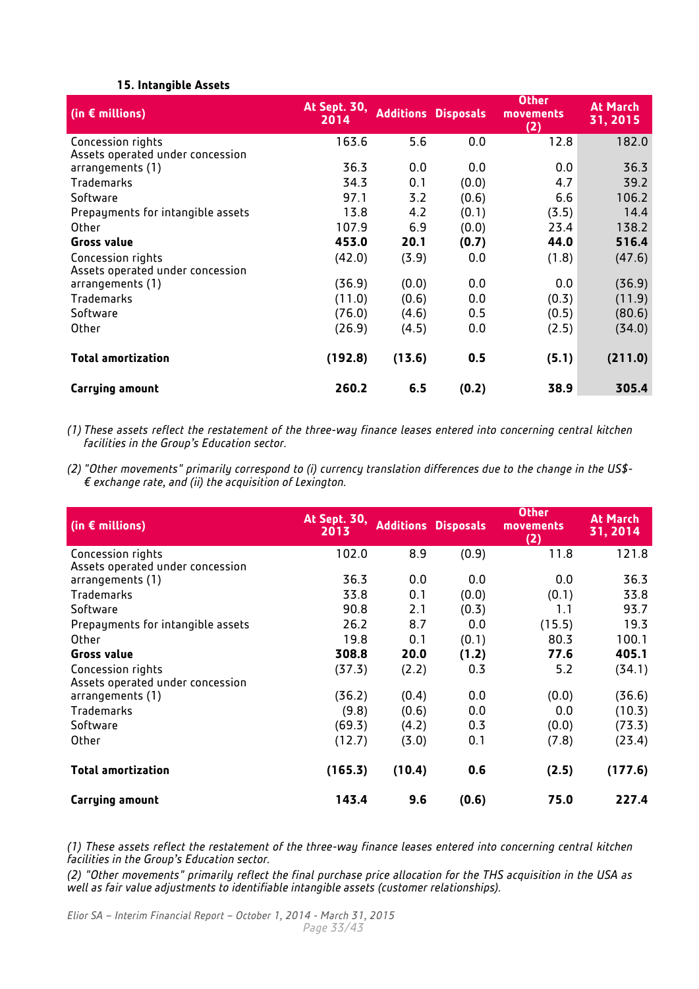## **15. Intangible Assets**

<span id="page-32-0"></span>

| (in $\epsilon$ millions)          | <b>At Sept. 30,</b><br>2014 |        | <b>Additions Disposals</b> | <b>Other</b><br>movements<br>(2) | <b>At March</b><br>31, 2015 |
|-----------------------------------|-----------------------------|--------|----------------------------|----------------------------------|-----------------------------|
| Concession rights                 | 163.6                       | 5.6    | 0.0                        | 12.8                             | 182.0                       |
| Assets operated under concession  |                             |        |                            |                                  |                             |
| arrangements (1)                  | 36.3                        | 0.0    | 0.0                        | 0.0                              | 36.3                        |
| Trademarks                        | 34.3                        | 0.1    | (0.0)                      | 4.7                              | 39.2                        |
| Software                          | 97.1                        | 3.2    | (0.6)                      | 6.6                              | 106.2                       |
| Prepayments for intangible assets | 13.8                        | 4.2    | (0.1)                      | (3.5)                            | 14.4                        |
| Other                             | 107.9                       | 6.9    | (0.0)                      | 23.4                             | 138.2                       |
| <b>Gross value</b>                | 453.0                       | 20.1   | (0.7)                      | 44.0                             | 516.4                       |
| Concession rights                 | (42.0)                      | (3.9)  | 0.0                        | (1.8)                            | (47.6)                      |
| Assets operated under concession  |                             |        |                            |                                  |                             |
| arrangements (1)                  | (36.9)                      | (0.0)  | 0.0                        | 0.0                              | (36.9)                      |
| Trademarks                        | (11.0)                      | (0.6)  | 0.0                        | (0.3)                            | (11.9)                      |
| Software                          | (76.0)                      | (4.6)  | 0.5                        | (0.5)                            | (80.6)                      |
| Other                             | (26.9)                      | (4.5)  | 0.0                        | (2.5)                            | (34.0)                      |
| <b>Total amortization</b>         | (192.8)                     | (13.6) | 0.5                        | (5.1)                            | (211.0)                     |
| Carrying amount                   | 260.2                       | 6.5    | (0.2)                      | 38.9                             | 305.4                       |

*(1) These assets reflect the restatement of the three-way finance leases entered into concerning central kitchen facilities in the Group's Education sector.* 

*(2) "Other movements" primarily correspond to (i) currency translation differences due to the change in the US\$- € exchange rate, and (ii) the acquisition of Lexington.*

| (in $\epsilon$ millions)                              | <b>At Sept. 30,</b><br>2013 |        | <b>Additions Disposals</b> | <b>Other</b><br>movements<br>(2) | <b>At March</b><br>31, 2014 |
|-------------------------------------------------------|-----------------------------|--------|----------------------------|----------------------------------|-----------------------------|
| Concession rights<br>Assets operated under concession | 102.0                       | 8.9    | (0.9)                      | 11.8                             | 121.8                       |
| arrangements (1)                                      | 36.3                        | 0.0    | 0.0                        | 0.0                              | 36.3                        |
| Trademarks                                            | 33.8                        | 0.1    | (0.0)                      | (0.1)                            | 33.8                        |
| Software                                              | 90.8                        | 2.1    | (0.3)                      | 1.1                              | 93.7                        |
| Prepayments for intangible assets                     | 26.2                        | 8.7    | 0.0                        | (15.5)                           | 19.3                        |
| Other                                                 | 19.8                        | 0.1    | (0.1)                      | 80.3                             | 100.1                       |
| <b>Gross value</b>                                    | 308.8                       | 20.0   | (1.2)                      | 77.6                             | 405.1                       |
| Concession rights                                     | (37.3)                      | (2.2)  | 0.3                        | 5.2                              | (34.1)                      |
| Assets operated under concession<br>arrangements (1)  | (36.2)                      | (0.4)  | 0.0                        | (0.0)                            | (36.6)                      |
| Trademarks                                            | (9.8)                       | (0.6)  | 0.0                        | 0.0                              | (10.3)                      |
|                                                       |                             |        |                            |                                  |                             |
| Software                                              | (69.3)                      | (4.2)  | 0.3                        | (0.0)                            | (73.3)                      |
| Other                                                 | (12.7)                      | (3.0)  | 0.1                        | (7.8)                            | (23.4)                      |
| <b>Total amortization</b>                             | (165.3)                     | (10.4) | 0.6                        | (2.5)                            | (177.6)                     |
| Carrying amount                                       | 143.4                       | 9.6    | (0.6)                      | 75.0                             | 227.4                       |

*(1) These assets reflect the restatement of the three-way finance leases entered into concerning central kitchen facilities in the Group's Education sector.* 

*(2) "Other movements" primarily reflect the final purchase price allocation for the THS acquisition in the USA as well as fair value adjustments to identifiable intangible assets (customer relationships).*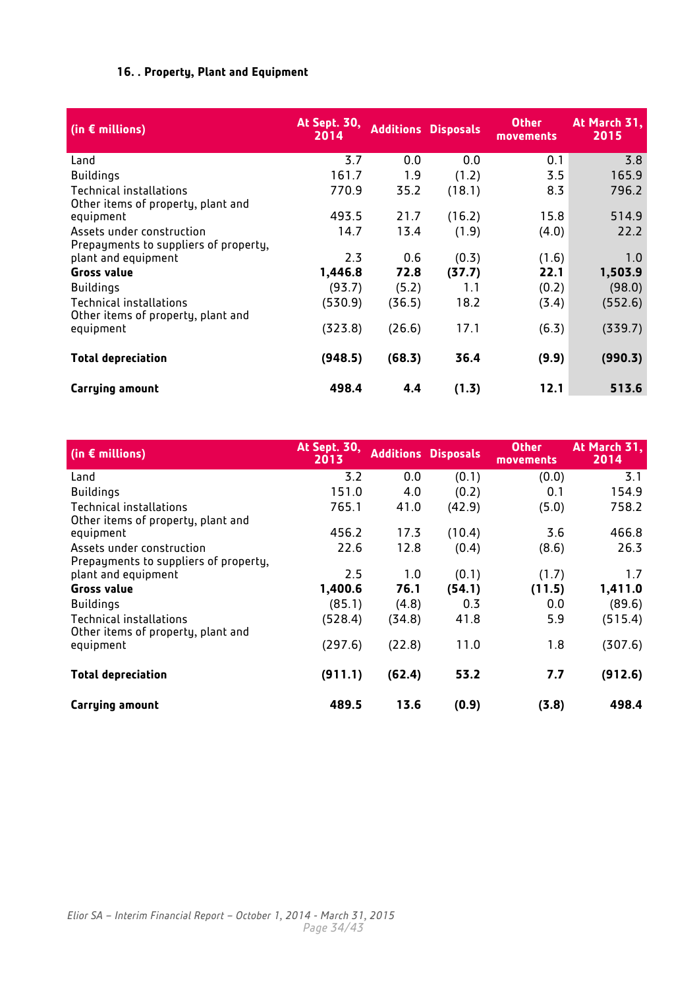## **16. . Property, Plant and Equipment**

<span id="page-33-0"></span>

| (in $\epsilon$ millions)                                           | <b>At Sept. 30,</b><br>2014 |        | <b>Additions Disposals</b> | <b>Other</b><br>movements | At March 31,<br>2015 |
|--------------------------------------------------------------------|-----------------------------|--------|----------------------------|---------------------------|----------------------|
| Land                                                               | 3.7                         | 0.0    | 0.0                        | 0.1                       | 3.8                  |
| <b>Buildings</b>                                                   | 161.7                       | 1.9    | (1.2)                      | 3.5                       | 165.9                |
| Technical installations<br>Other items of property, plant and      | 770.9                       | 35.2   | (18.1)                     | 8.3                       | 796.2                |
| equipment                                                          | 493.5                       | 21.7   | (16.2)                     | 15.8                      | 514.9                |
| Assets under construction<br>Prepayments to suppliers of property, | 14.7                        | 13.4   | (1.9)                      | (4.0)                     | 22.2                 |
| plant and equipment                                                | 2.3                         | 0.6    | (0.3)                      | (1.6)                     | 1.0                  |
| <b>Gross value</b>                                                 | 1,446.8                     | 72.8   | (37.7)                     | 22.1                      | 1,503.9              |
| <b>Buildings</b>                                                   | (93.7)                      | (5.2)  | 1.1                        | (0.2)                     | (98.0)               |
| Technical installations<br>Other items of property, plant and      | (530.9)                     | (36.5) | 18.2                       | (3.4)                     | (552.6)              |
| equipment                                                          | (323.8)                     | (26.6) | 17.1                       | (6.3)                     | (339.7)              |
| <b>Total depreciation</b>                                          | (948.5)                     | (68.3) | 36.4                       | (9.9)                     | (990.3)              |
| Carrying amount                                                    | 498.4                       | 4.4    | (1.3)                      | 12.1                      | 513.6                |

| (in $\epsilon$ millions)                                     | <b>At Sept. 30,</b><br>2013 |        | <b>Additions Disposals</b> | <b>Other</b><br>movements | At March 31,<br>2014 |
|--------------------------------------------------------------|-----------------------------|--------|----------------------------|---------------------------|----------------------|
| Land                                                         | 3.2                         | 0.0    | (0.1)                      | (0.0)                     | 3.1                  |
| <b>Buildings</b>                                             | 151.0                       | 4.0    | (0.2)                      | 0.1                       | 154.9                |
| Technical installations                                      | 765.1                       | 41.0   | (42.9)                     | (5.0)                     | 758.2                |
| Other items of property, plant and                           |                             |        |                            |                           |                      |
| equipment                                                    | 456.2                       | 17.3   | (10.4)                     | 3.6                       | 466.8                |
| Assets under construction                                    | 22.6                        | 12.8   | (0.4)                      | (8.6)                     | 26.3                 |
| Prepayments to suppliers of property,<br>plant and equipment | 2.5                         | 1.0    | (0.1)                      | (1.7)                     | 1.7                  |
| <b>Gross value</b>                                           | 1,400.6                     | 76.1   | (54.1)                     | (11.5)                    | 1,411.0              |
| <b>Buildings</b>                                             | (85.1)                      | (4.8)  | 0.3                        | 0.0                       | (89.6)               |
| Technical installations                                      | (528.4)                     | (34.8) | 41.8                       | 5.9                       | (515.4)              |
| Other items of property, plant and<br>equipment              | (297.6)                     | (22.8) | 11.0                       | 1.8                       | (307.6)              |
| <b>Total depreciation</b>                                    | (911.1)                     | (62.4) | 53.2                       | 7.7                       | (912.6)              |
| <b>Carrying amount</b>                                       | 489.5                       | 13.6   | (0.9)                      | (3.8)                     | 498.4                |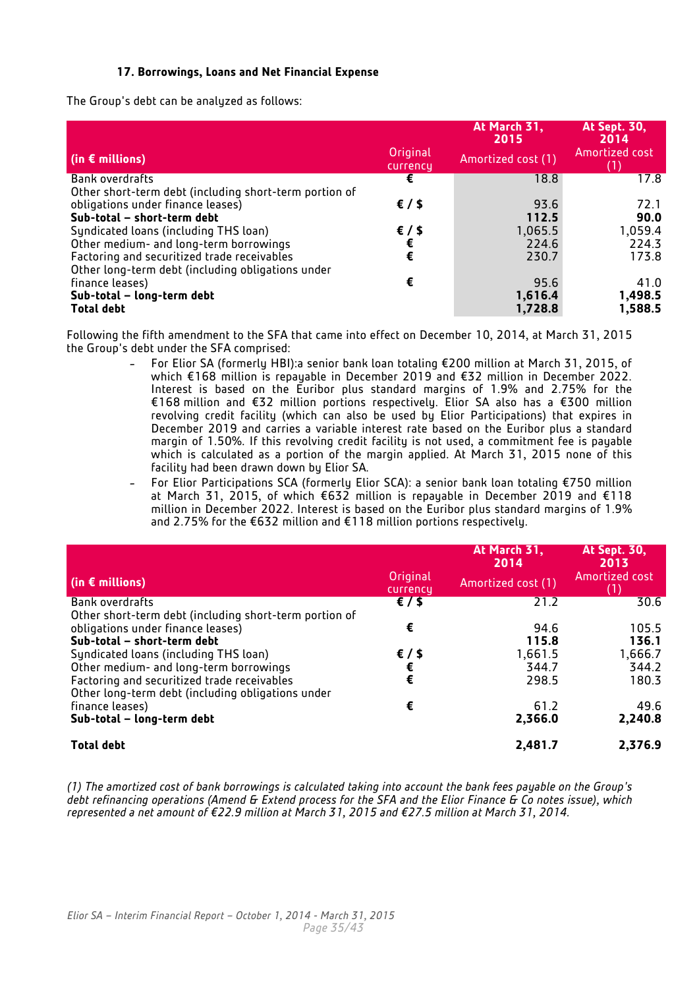## **17. Borrowings, Loans and Net Financial Expense**

<span id="page-34-0"></span>The Group's debt can be analyzed as follows:

|                                                                                                  |                      | At March 31,<br>2015 | At Sept. 30,<br>2014 |
|--------------------------------------------------------------------------------------------------|----------------------|----------------------|----------------------|
| (in $\epsilon$ millions)                                                                         | Original<br>currency | Amortized cost (1)   | Amortized cost       |
| Bank overdrafts                                                                                  | €                    | 18.8                 | 17.8                 |
| Other short-term debt (including short-term portion of                                           |                      |                      |                      |
| obligations under finance leases)                                                                | $\epsilon$ / \$      | 93.6                 | 72.1                 |
| Sub-total - short-term debt                                                                      |                      | 112.5                | 90.0                 |
| Syndicated loans (including THS loan)                                                            | $\epsilon$ / \$      | 1,065.5              | 1,059.4              |
| Other medium- and long-term borrowings                                                           |                      | 224.6                | 224.3                |
| Factoring and securitized trade receivables<br>Other long-term debt (including obligations under | €                    | 230.7                | 173.8                |
| finance leases)                                                                                  | €                    | 95.6                 | 41.0                 |
| Sub-total - long-term debt                                                                       |                      | 1,616.4              | 1,498.5              |
| <b>Total debt</b>                                                                                |                      | 1,728.8              | 1,588.5              |

Following the fifth amendment to the SFA that came into effect on December 10, 2014, at March 31, 2015 the Group's debt under the SFA comprised:

- For Elior SA (formerly HBI):a senior bank loan totaling €200 million at March 31, 2015, of which €168 million is repayable in December 2019 and €32 million in December 2022. Interest is based on the Euribor plus standard margins of 1.9% and 2.75% for the €168 million and €32 million portions respectively. Elior SA also has a €300 million revolving credit facility (which can also be used by Elior Participations) that expires in December 2019 and carries a variable interest rate based on the Euribor plus a standard margin of 1.50%. If this revolving credit facility is not used, a commitment fee is payable which is calculated as a portion of the margin applied. At March 31, 2015 none of this facility had been drawn down by Elior SA.
- For Elior Participations SCA (formerly Elior SCA): a senior bank loan totaling €750 million at March 31, 2015, of which €632 million is repayable in December 2019 and €118 million in December 2022. Interest is based on the Euribor plus standard margins of 1.9% and 2.75% for the €632 million and €118 million portions respectively.

|                                                                                                  |                      | At March 31,<br>2014 | <b>At Sept. 30,</b><br>2013 |
|--------------------------------------------------------------------------------------------------|----------------------|----------------------|-----------------------------|
| (in $\epsilon$ millions)                                                                         | Original<br>currency | Amortized cost (1)   | Amortized cost              |
| Bank overdrafts<br>Other short-term debt (including short-term portion of                        | $\epsilon$ /\$       | 21.2                 | 30.6                        |
| obligations under finance leases)<br>Sub-total - short-term debt                                 | €                    | 94.6<br>115.8        | 105.5<br>136.1              |
| Syndicated loans (including THS loan)<br>Other medium- and long-term borrowings                  | $\epsilon$ / \$<br>€ | 1,661.5<br>344.7     | 1,666.7<br>344.2            |
| Factoring and securitized trade receivables<br>Other long-term debt (including obligations under | $\epsilon$           | 298.5                | 180.3                       |
| finance leases)<br>Sub-total - long-term debt                                                    | €                    | 61.2<br>2,366.0      | 49.6<br>2,240.8             |
| <b>Total debt</b>                                                                                |                      | 2,481.7              | 2,376.9                     |

*(1) The amortized cost of bank borrowings is calculated taking into account the bank fees payable on the Group's debt refinancing operations (Amend & Extend process for the SFA and the Elior Finance & Co notes issue), which represented a net amount of €22.9 million at March 31, 2015 and €27.5 million at March 31, 2014.*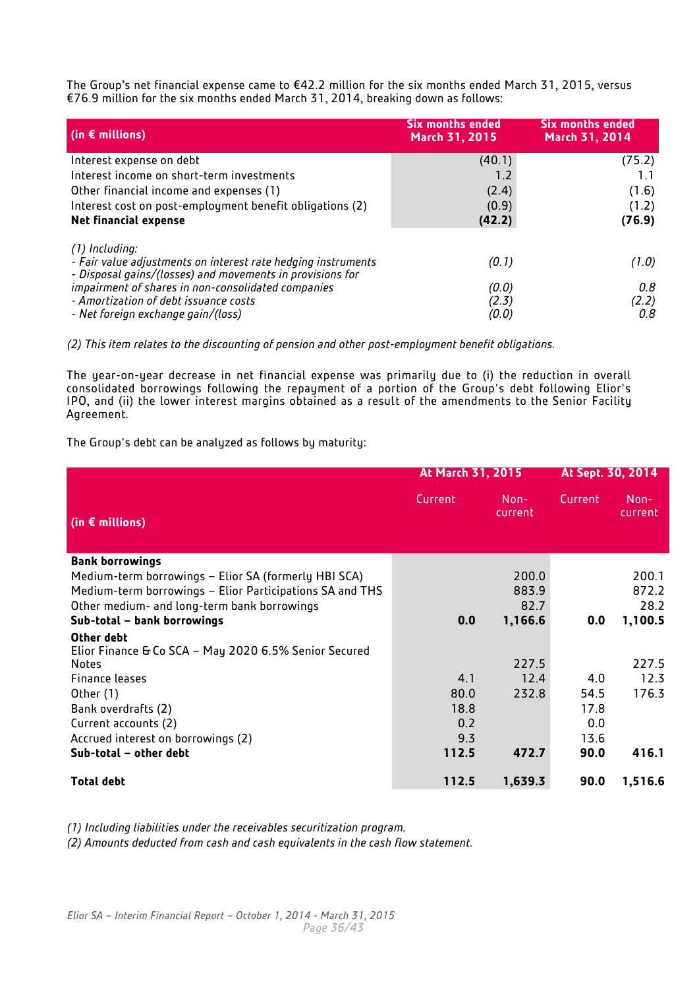The Group's net financial expense came to €42.2 million for the six months ended March 31, 2015, versus €76.9 million for the six months ended March 31, 2014, breaking down as follows:

| $\left  \right $ (in $\epsilon$ millions)                                                                                                    | <b>Six months ended</b><br>March 31, 2015 | <b>Six months ended</b><br>March 31, 2014 |
|----------------------------------------------------------------------------------------------------------------------------------------------|-------------------------------------------|-------------------------------------------|
| Interest expense on debt                                                                                                                     | (40.1)                                    | (75.2)                                    |
| Interest income on short-term investments                                                                                                    | 1.2                                       |                                           |
| Other financial income and expenses (1)                                                                                                      | (2.4)                                     | (1.6)                                     |
| Interest cost on post-employment benefit obligations (2)                                                                                     | (0.9)                                     | (1.2)                                     |
| <b>Net financial expense</b>                                                                                                                 | (42.2)                                    | (76.9)                                    |
| (1) Including:<br>- Fair value adjustments on interest rate hedging instruments<br>- Disposal gains/(losses) and movements in provisions for | (0.1)                                     | (1.0)                                     |
| impairment of shares in non-consolidated companies<br>- Amortization of debt issuance costs<br>- Net foreign exchange gain/(loss)            | (0.0)<br>(2.3)<br>(0.0)                   | 0.8<br>(2.2)<br>0.8                       |

*(2) This item relates to the discounting of pension and other post-employment benefit obligations.*

The year-on-year decrease in net financial expense was primarily due to (i) the reduction in overall consolidated borrowings following the repayment of a portion of the Group's debt following Elior's IPO, and (ii) the lower interest margins obtained as a result of the amendments to the Senior Facility Agreement.

The Group's debt can be analyzed as follows by maturity:

|                                                                     | At March 31, 2015 |                 | At Sept. 30, 2014 |                 |
|---------------------------------------------------------------------|-------------------|-----------------|-------------------|-----------------|
| (in $\epsilon$ millions)                                            | Current           | Non-<br>current | Current           | Non-<br>current |
| <b>Bank borrowings</b>                                              |                   |                 |                   |                 |
| Medium-term borrowings - Elior SA (formerly HBI SCA)                |                   | 200.0           |                   | 200.1           |
| Medium-term borrowings – Elior Participations SA and THS            |                   | 883.9           |                   | 872.2           |
| Other medium- and long-term bank borrowings                         |                   | 82.7            |                   | 28.2            |
| Sub-total - bank borrowings                                         | 0.0               | 1,166.6         | 0.0               | 1,100.5         |
| Other debt<br>Elior Finance & Co SCA - May 2020 6.5% Senior Secured |                   |                 |                   |                 |
| <b>Notes</b>                                                        |                   | 227.5           |                   | 227.5           |
| Finance leases                                                      | 4.1               | 12.4            | 4.0               | 12.3            |
| Other (1)                                                           | 80.0              | 232.8           | 54.5              | 176.3           |
| Bank overdrafts (2)                                                 | 18.8              |                 | 17.8              |                 |
| Current accounts (2)                                                | 0.2               |                 | 0.0               |                 |
| Accrued interest on borrowings (2)                                  | 9.3               |                 | 13.6              |                 |
| Sub-total - other debt                                              | 112.5             | 472.7           | 90.0              | 416.1           |
| <b>Total debt</b>                                                   | 112.5             | 1,639.3         | 90.0              | 1,516.6         |

*(1) Including liabilities under the receivables securitization program.* 

*(2) Amounts deducted from cash and cash equivalents in the cash flow statement.*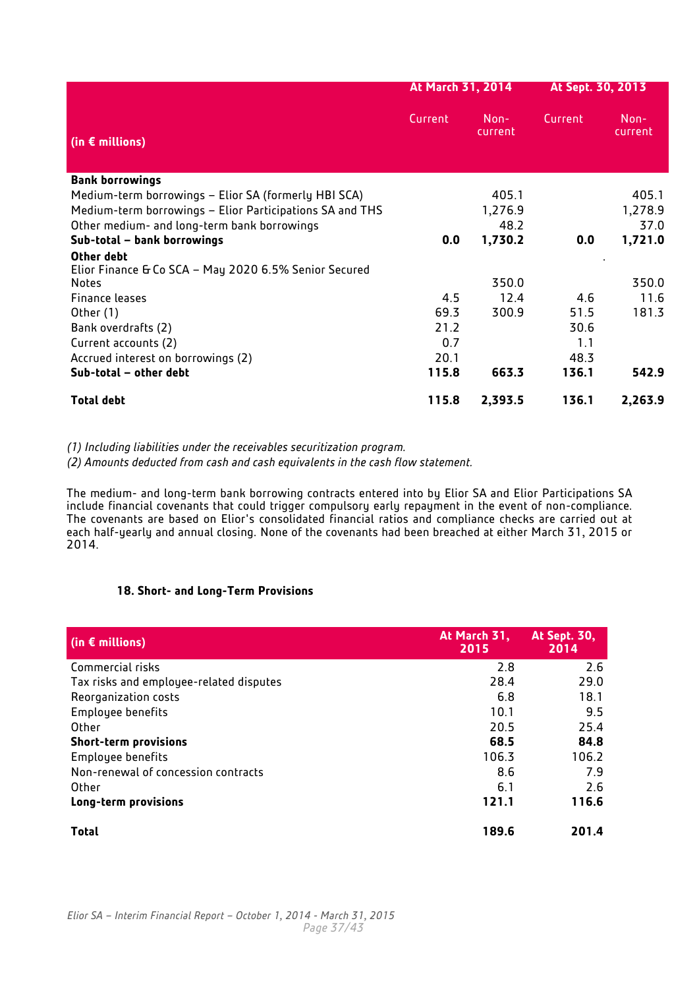|                                                                     | At March 31, 2014 |                   | At Sept. 30, 2013 |                 |
|---------------------------------------------------------------------|-------------------|-------------------|-------------------|-----------------|
| (in $\epsilon$ millions)                                            | Current           | $Non-$<br>current | Current           | Non-<br>current |
| <b>Bank borrowings</b>                                              |                   |                   |                   |                 |
| Medium-term borrowings - Elior SA (formerly HBI SCA)                |                   | 405.1             |                   | 405.1           |
| Medium-term borrowings - Elior Participations SA and THS            |                   | 1,276.9           |                   | 1,278.9         |
| Other medium- and long-term bank borrowings                         |                   | 48.2              |                   | 37.0            |
| Sub-total - bank borrowings                                         | 0.0               | 1,730.2           | 0.0               | 1,721.0         |
| Other debt<br>Elior Finance & Co SCA - May 2020 6.5% Senior Secured |                   |                   |                   |                 |
| Notes                                                               |                   | 350.0             |                   | 350.0           |
| Finance leases                                                      | 4.5               | 12.4              | 4.6               | 11.6            |
| Other (1)                                                           | 69.3              | 300.9             | 51.5              | 181.3           |
| Bank overdrafts (2)                                                 | 21.2              |                   | 30.6              |                 |
| Current accounts (2)                                                | 0.7               |                   | 1.1               |                 |
| Accrued interest on borrowings (2)                                  | 20.1              |                   | 48.3              |                 |
| Sub-total - other debt                                              | 115.8             | 663.3             | 136.1             | 542.9           |
| <b>Total debt</b>                                                   | 115.8             | 2,393.5           | 136.1             | 2,263.9         |

*(1) Including liabilities under the receivables securitization program.* 

*(2) Amounts deducted from cash and cash equivalents in the cash flow statement.*

The medium- and long-term bank borrowing contracts entered into by Elior SA and Elior Participations SA include financial covenants that could trigger compulsory early repayment in the event of non-compliance. The covenants are based on Elior's consolidated financial ratios and compliance checks are carried out at each half-yearly and annual closing. None of the covenants had been breached at either March 31, 2015 or 2014.

## **18. Short- and Long-Term Provisions**

<span id="page-36-0"></span>

| (in $\epsilon$ millions)                | At March 31,<br>2015 | <b>At Sept. 30,</b><br>2014 |
|-----------------------------------------|----------------------|-----------------------------|
| Commercial risks                        | 2.8                  | 2.6                         |
| Tax risks and employee-related disputes | 28.4                 | 29.0                        |
| Reorganization costs                    | 6.8                  | 18.1                        |
| Employee benefits                       | 10.1                 | 9.5                         |
| Other                                   | 20.5                 | 25.4                        |
| <b>Short-term provisions</b>            | 68.5                 | 84.8                        |
| Employee benefits                       | 106.3                | 106.2                       |
| Non-renewal of concession contracts     | 8.6                  | 7.9                         |
| Other                                   | 6.1                  | 2.6                         |
| Long-term provisions                    | 121.1                | 116.6                       |
| <b>Total</b>                            | 189.6                | 201.4                       |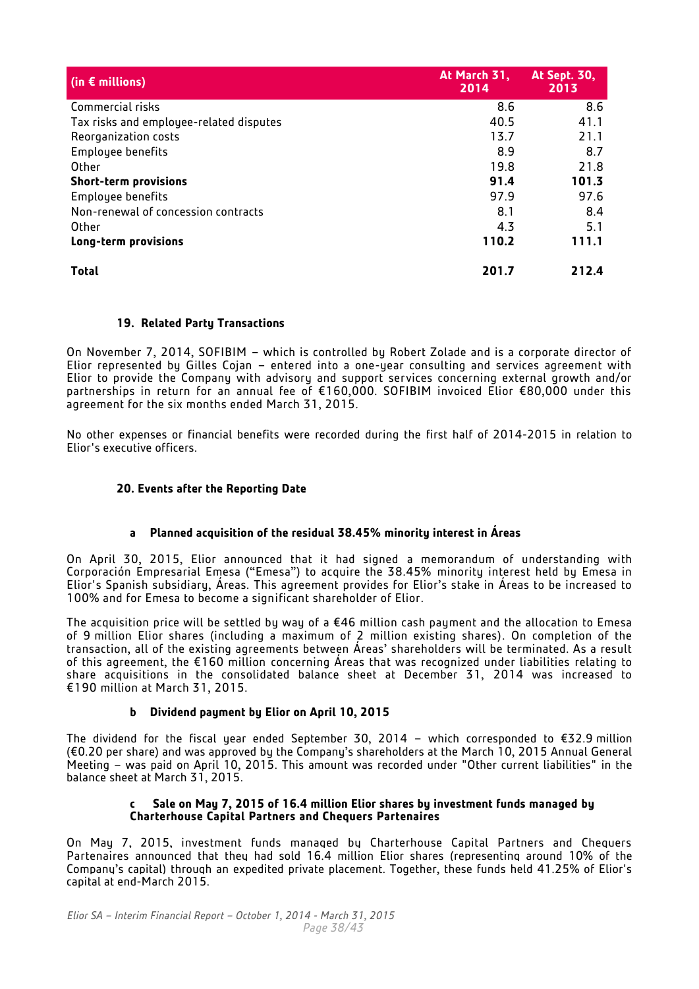| (in $\epsilon$ millions)                | At March 31,<br>2014 | <b>At Sept. 30,</b><br>2013 |
|-----------------------------------------|----------------------|-----------------------------|
| Commercial risks                        | 8.6                  | 8.6                         |
| Tax risks and employee-related disputes | 40.5                 | 41.1                        |
| Reorganization costs                    | 13.7                 | 21.1                        |
| Employee benefits                       | 8.9                  | 8.7                         |
| Other                                   | 19.8                 | 21.8                        |
| <b>Short-term provisions</b>            | 91.4                 | 101.3                       |
| Employee benefits                       | 97.9                 | 97.6                        |
| Non-renewal of concession contracts     | 8.1                  | 8.4                         |
| Other                                   | 4.3                  | 5.1                         |
| Long-term provisions                    | 110.2                | 111.1                       |
| <b>Total</b>                            | 201.7                | 212.4                       |

## <span id="page-37-0"></span>**19. Related Party Transactions**

On November 7, 2014, SOFIBIM – which is controlled by Robert Zolade and is a corporate director of Elior represented by Gilles Cojan – entered into a one-year consulting and services agreement with Elior to provide the Company with advisory and support services concerning external growth and/or partnerships in return for an annual fee of €160,000. SOFIBIM invoiced Elior €80,000 under this agreement for the six months ended March 31, 2015.

No other expenses or financial benefits were recorded during the first half of 2014-2015 in relation to Elior's executive officers.

## <span id="page-37-1"></span>**20. Events after the Reporting Date**

## **a Planned acquisition of the residual 38.45% minority interest in Áreas**

On April 30, 2015, Elior announced that it had signed a memorandum of understanding with Corporación Empresarial Emesa ("Emesa") to acquire the 38.45% minority interest held by Emesa in Elior's Spanish subsidiary, Áreas. This agreement provides for Elior's stake in Áreas to be increased to 100% and for Emesa to become a significant shareholder of Elior.

The acquisition price will be settled by way of a €46 million cash payment and the allocation to Emesa of 9 million Elior shares (including a maximum of 2 million existing shares). On completion of the transaction, all of the existing agreements between Áreas' shareholders will be terminated. As a result of this agreement, the €160 million concerning Áreas that was recognized under liabilities relating to share acquisitions in the consolidated balance sheet at December 31, 2014 was increased to €190 million at March 31, 2015.

## **b Dividend payment by Elior on April 10, 2015**

The dividend for the fiscal year ended September 30, 2014 – which corresponded to €32.9 million (€0.20 per share) and was approved by the Company's shareholders at the March 10, 2015 Annual General Meeting – was paid on April 10, 2015. This amount was recorded under "Other current liabilities" in the balance sheet at March 31, 2015.

#### **c Sale on May 7, 2015 of 16.4 million Elior shares by investment funds managed by Charterhouse Capital Partners and Chequers Partenaires**

On May 7, 2015, investment funds managed by Charterhouse Capital Partners and Chequers Partenaires announced that they had sold 16.4 million Elior shares (representing around 10% of the Company's capital) through an expedited private placement. Together, these funds held 41.25% of Elior's capital at end-March 2015.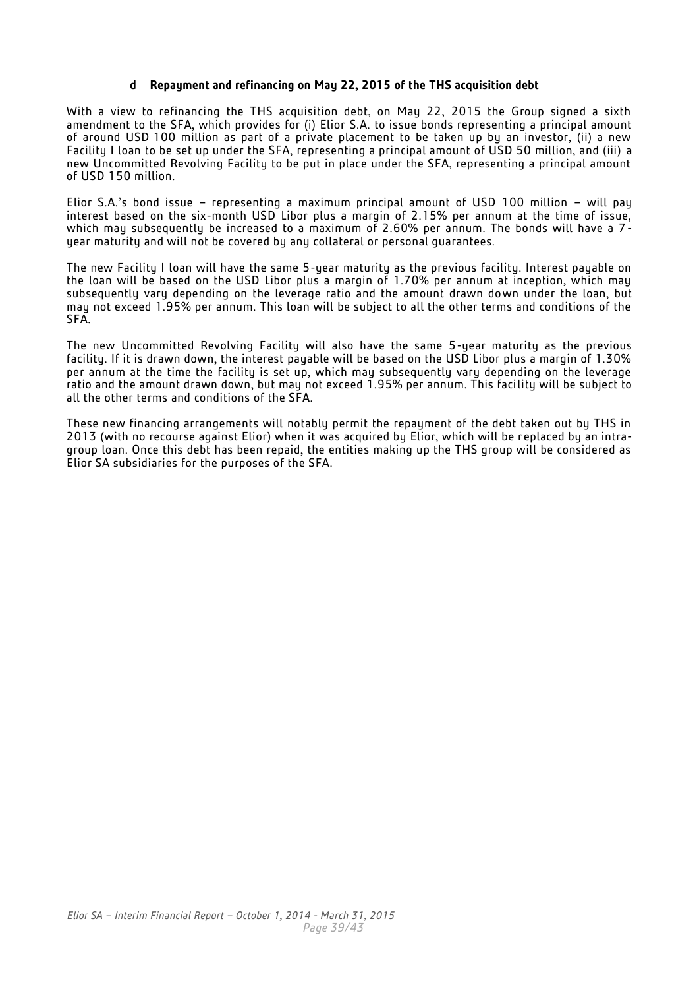#### **d Repayment and refinancing on May 22, 2015 of the THS acquisition debt**

With a view to refinancing the THS acquisition debt, on May 22, 2015 the Group signed a sixth amendment to the SFA, which provides for (i) Elior S.A. to issue bonds representing a principal amount of around USD 100 million as part of a private placement to be taken up by an investor, (ii) a new Facility I loan to be set up under the SFA, representing a principal amount of USD 50 million, and (iii) a new Uncommitted Revolving Facility to be put in place under the SFA, representing a principal amount of USD 150 million.

Elior S.A.'s bond issue – representing a maximum principal amount of USD 100 million – will pay interest based on the six-month USD Libor plus a margin of 2.15% per annum at the time of issue, which may subsequently be increased to a maximum of 2.60% per annum. The bonds will have a  $7$ year maturity and will not be covered by any collateral or personal guarantees.

The new Facility I loan will have the same 5-year maturity as the previous facility. Interest payable on the loan will be based on the USD Libor plus a margin of 1.70% per annum at inception, which may subsequently vary depending on the leverage ratio and the amount drawn down under the loan, but may not exceed 1.95% per annum. This loan will be subject to all the other terms and conditions of the SFA.

The new Uncommitted Revolving Facility will also have the same 5-year maturity as the previous facility. If it is drawn down, the interest payable will be based on the USD Libor plus a margin of 1.30% per annum at the time the facility is set up, which may subsequently vary depending on the leverage ratio and the amount drawn down, but may not exceed 1.95% per annum. This facility will be subject to all the other terms and conditions of the SFA.

These new financing arrangements will notably permit the repayment of the debt taken out by THS in 2013 (with no recourse against Elior) when it was acquired by Elior, which will be replaced by an intragroup loan. Once this debt has been repaid, the entities making up the THS group will be considered as Elior SA subsidiaries for the purposes of the SFA.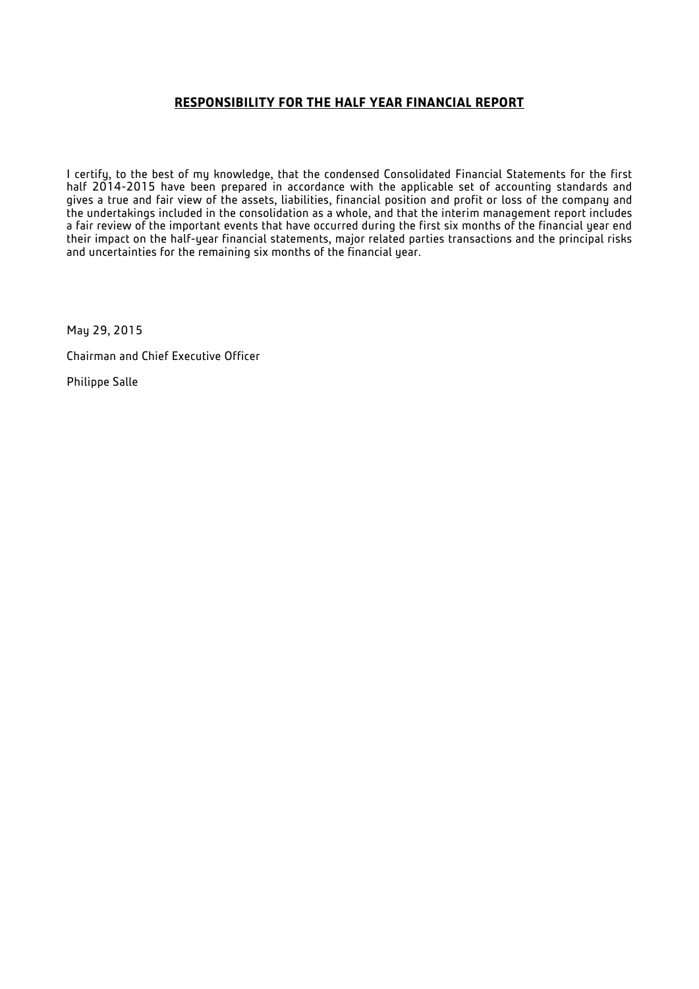## **RESPONSIBILITY FOR THE HALF YEAR FINANCIAL REPORT**

I certify, to the best of my knowledge, that the condensed Consolidated Financial Statements for the first half 2014-2015 have been prepared in accordance with the applicable set of accounting standards and gives a true and fair view of the assets, liabilities, financial position and profit or loss of the company and the undertakings included in the consolidation as a whole, and that the interim management report includes a fair review of the important events that have occurred during the first six months of the financial year end their impact on the half-year financial statements, major related parties transactions and the principal risks and uncertainties for the remaining six months of the financial year.

May 29, 2015

Chairman and Chief Executive Officer

Philippe Salle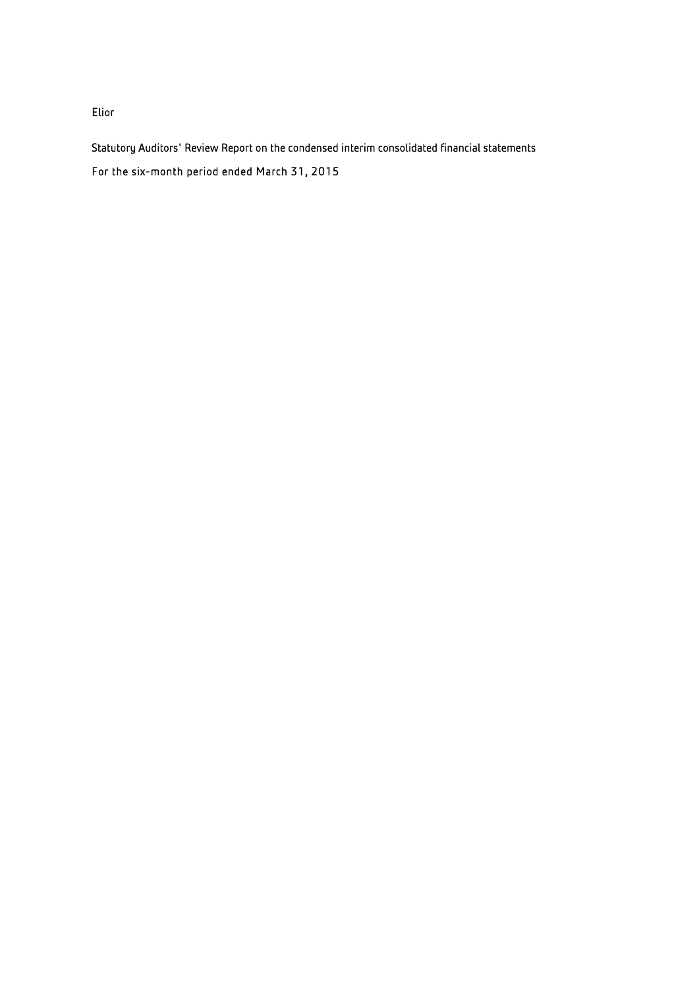Elior

Statutory Auditors' Review Report on the condensed interim consolidated financial statements For the six-month period ended March 31, 2015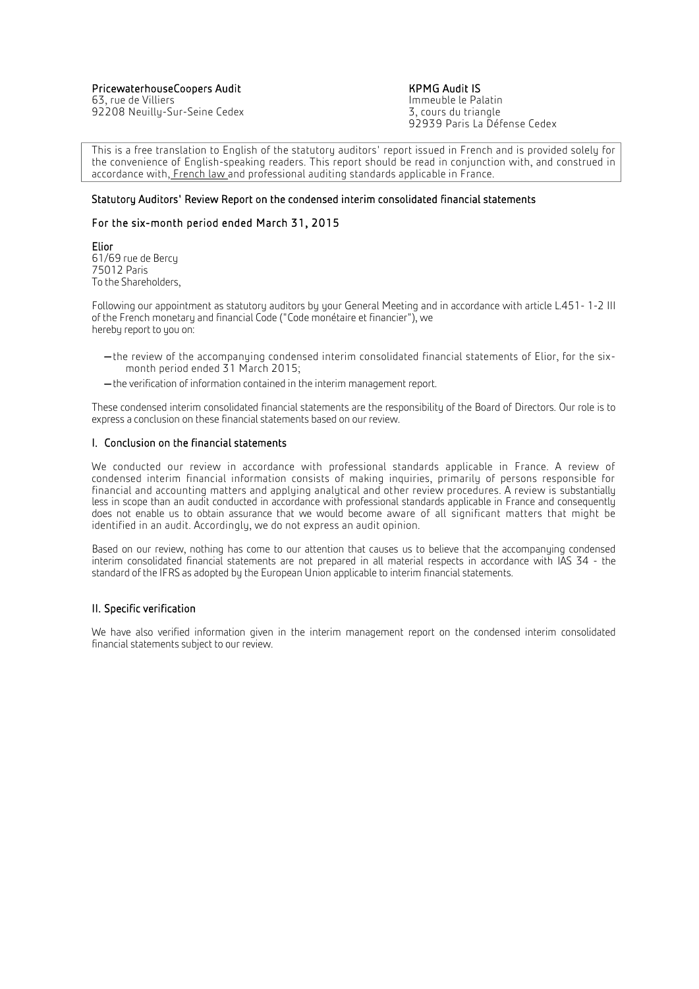PricewaterhouseCoopers Audit Manuel Australian Manuel Manuel KPMG Audit IS<br>Fig. rue de Villiers Manuel Australian Manuel Manuel Anneuble le Palatin

63, rue de Villiers<br>192208 Neuilly-Sur-Seine Cedex<br>192208 Neuilly-Sur-Seine Cedex 92208 Neuilly-Sur-Seine Cedex

92939 Paris La Défense Cedex

This is a free translation to English of the statutory auditors' report issued in French and is provided solely for the convenience of English-speaking readers. This report should be read in conjunction with, and construed in accordance with, French law and professional auditing standards applicable in France.

#### Ī Statutory Auditors' Review Report on the condensed interim consolidated financial statements

#### For the six-month period ended March 31, 2015

Elior 61/69 rue de Bercy 75012 Paris To the Shareholders,

Following our appointment as statutory auditors by your General Meeting and in accordance with article L.451- 1-2 III of the French monetary and financial Code ("Code monétaire et financier"), we hereby report to you on:

- -the review of the accompanuing condensed interim consolidated financial statements of Elior, for the sixmonth period ended 31 March 2015;
- the verification of information contained in the interim management report.

These condensed interim consolidated financial statements are the responsibility of the Board of Directors. Our role is to express a conclusion on these financial statements based on our review.

#### I. Conclusion on the financial statements

We conducted our review in accordance with professional standards applicable in France. A review of condensed interim financial information consists of making inquiries, primarily of persons responsible for financial and accounting matters and applying analytical and other review procedures. A review is substantially less in scope than an audit conducted in accordance with professional standards applicable in France and consequently does not enable us to obtain assurance that we would become aware of all significant matters that might be identified in an audit. Accordingly, we do not express an audit opinion.

Based on our review, nothing has come to our attention that causes us to believe that the accompanying condensed interim consolidated financial statements are not prepared in all material respects in accordance with IAS 34 - the standard of the IFRS as adopted by the European Union applicable to interim financial statements.

#### II. Specific verification

We have also verified information given in the interim management report on the condensed interim consolidated financial statements subject to our review.